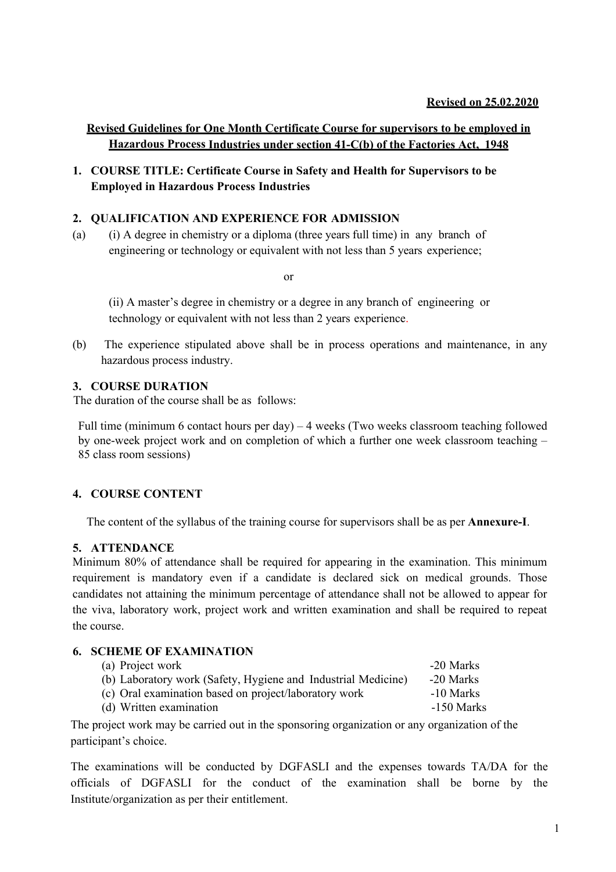## **Revised Guidelines for One Month Certificate Course for supervisors to be employed in Hazardous Process Industries under section 41-C(b) of the Factories Act, 1948**

**1. COURSE TITLE: Certificate Course in Safety and Health for Supervisors to be Employed in Hazardous Process Industries**

## **2. QUALIFICATION AND EXPERIENCE FOR ADMISSION**

(a) (i) A degree in chemistry or a diploma (three years full time) in any branch of engineering or technology or equivalent with not less than 5 years experience;

or

(ii) A master's degree in chemistry or a degree in any branch of engineering or technology or equivalent with not less than 2 years experience.

(b) The experience stipulated above shall be in process operations and maintenance, in any hazardous process industry.

## **3. COURSE DURATION**

The duration of the course shall be as follows:

Full time (minimum 6 contact hours per day) – 4 weeks (Two weeks classroom teaching followed by one-week project work and on completion of which a further one week classroom teaching – 85 class room sessions)

## **4. COURSE CONTENT**

The content of the syllabus of the training course for supervisors shall be as per **Annexure-I**.

## **5. ATTENDANCE**

Minimum 80% of attendance shall be required for appearing in the examination. This minimum requirement is mandatory even if a candidate is declared sick on medical grounds. Those candidates not attaining the minimum percentage of attendance shall not be allowed to appear for the viva, laboratory work, project work and written examination and shall be required to repeat the course.

## **6. SCHEME OF EXAMINATION**

| (a) Project work                                              | -20 Marks  |
|---------------------------------------------------------------|------------|
| (b) Laboratory work (Safety, Hygiene and Industrial Medicine) | -20 Marks  |
| (c) Oral examination based on project/laboratory work         | -10 Marks  |
| (d) Written examination                                       | -150 Marks |

The project work may be carried out in the sponsoring organization or any organization of the participant's choice.

The examinations will be conducted by DGFASLI and the expenses towards TA/DA for the officials of DGFASLI for the conduct of the examination shall be borne by the Institute/organization as per their entitlement.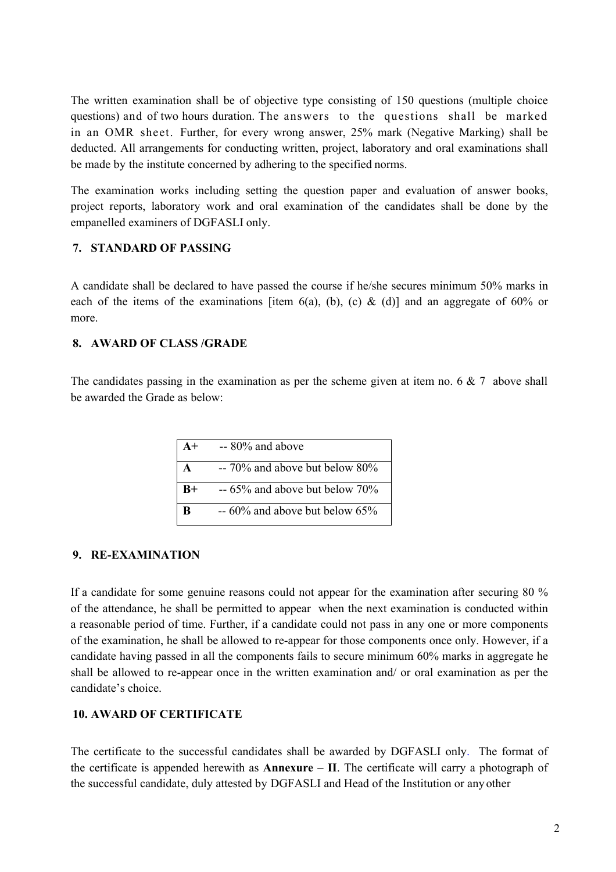The written examination shall be of objective type consisting of 150 questions (multiple choice questions) and of two hours duration. The answers to the questions shall be marked in an OMR sheet. Further, for every wrong answer, 25% mark (Negative Marking) shall be deducted. All arrangements for conducting written, project, laboratory and oral examinations shall be made by the institute concerned by adhering to the specified norms.

The examination works including setting the question paper and evaluation of answer books, project reports, laboratory work and oral examination of the candidates shall be done by the empanelled examiners of DGFASLI only.

## **7. STANDARD OF PASSING**

A candidate shall be declared to have passed the course if he/she secures minimum 50% marks in each of the items of the examinations [item 6(a), (b), (c) & (d)] and an aggregate of 60% or more.

## **8. AWARD OF CLASS /GRADE**

The candidates passing in the examination as per the scheme given at item no. 6  $\&$  7 above shall be awarded the Grade as below:

| $A+$ | $-80\%$ and above                  |
|------|------------------------------------|
| A    | -- 70% and above but below 80%     |
| $B+$ | $-65\%$ and above but below $70\%$ |
| B    | $-60\%$ and above but below 65%    |

## **9. RE-EXAMINATION**

If a candidate for some genuine reasons could not appear for the examination after securing 80 % of the attendance, he shall be permitted to appear when the next examination is conducted within a reasonable period of time. Further, if a candidate could not pass in any one or more components of the examination, he shall be allowed to re-appear for those components once only. However, if a candidate having passed in all the components fails to secure minimum 60% marks in aggregate he shall be allowed to re-appear once in the written examination and/ or oral examination as per the candidate's choice.

## **10. AWARD OF CERTIFICATE**

The certificate to the successful candidates shall be awarded by DGFASLI only. The format of the certificate is appended herewith as **Annexure – II**. The certificate will carry a photograph of the successful candidate, duly attested by DGFASLI and Head of the Institution or any other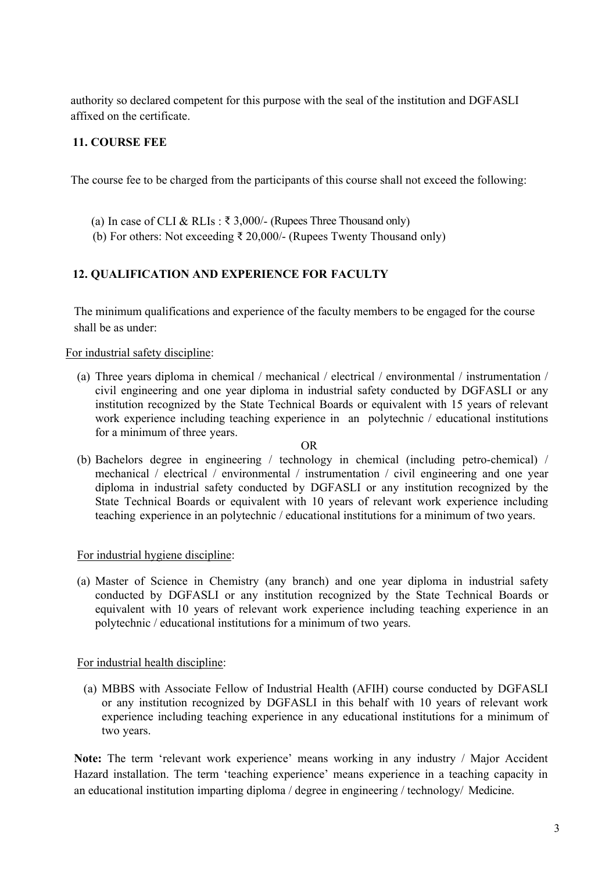authority so declared competent for this purpose with the seal of the institution and DGFASLI affixed on the certificate.

## **11. COURSE FEE**

The course fee to be charged from the participants of this course shall not exceed the following:

- (a) In case of CLI & RLIs :  $\bar{\tau}$  3,000/- (Rupees Three Thousand only)
- (b) For others: Not exceeding ₹ 20,000/- (Rupees Twenty Thousand only)

## **12. QUALIFICATION AND EXPERIENCE FOR FACULTY**

The minimum qualifications and experience of the faculty members to be engaged for the course shall be as under:

## For industrial safety discipline:

(a) Three years diploma in chemical / mechanical / electrical / environmental / instrumentation / civil engineering and one year diploma in industrial safety conducted by DGFASLI or any institution recognized by the State Technical Boards or equivalent with 15 years of relevant work experience including teaching experience in an polytechnic / educational institutions for a minimum of three years.

## OR

(b) Bachelors degree in engineering / technology in chemical (including petro-chemical) / mechanical / electrical / environmental / instrumentation / civil engineering and one year diploma in industrial safety conducted by DGFASLI or any institution recognized by the State Technical Boards or equivalent with 10 years of relevant work experience including teaching experience in an polytechnic / educational institutions for a minimum of two years.

## For industrial hygiene discipline:

(a) Master of Science in Chemistry (any branch) and one year diploma in industrial safety conducted by DGFASLI or any institution recognized by the State Technical Boards or equivalent with 10 years of relevant work experience including teaching experience in an polytechnic / educational institutions for a minimum of two years.

## For industrial health discipline:

(a) MBBS with Associate Fellow of Industrial Health (AFIH) course conducted by DGFASLI or any institution recognized by DGFASLI in this behalf with 10 years of relevant work experience including teaching experience in any educational institutions for a minimum of two years.

**Note:** The term 'relevant work experience' means working in any industry / Major Accident Hazard installation. The term 'teaching experience' means experience in a teaching capacity in an educational institution imparting diploma / degree in engineering / technology/ Medicine.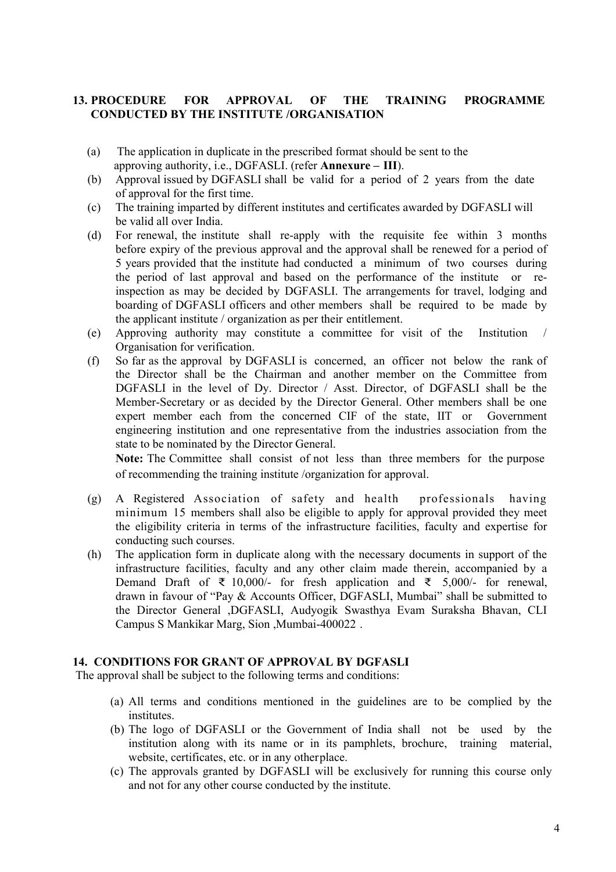## **13. PROCEDURE FOR APPROVAL OF THE TRAINING PROGRAMME CONDUCTED BY THE INSTITUTE /ORGANISATION**

- (a) The application in duplicate in the prescribed format should be sent to the approving authority, i.e., DGFASLI. (refer **Annexure – III**).
- (b) Approval issued by DGFASLI shall be valid for a period of 2 years from the date of approval for the first time.
- (c) The training imparted by different institutes and certificates awarded by DGFASLI will be valid all over India.
- (d) For renewal, the institute shall re-apply with the requisite fee within 3 months before expiry of the previous approval and the approval shall be renewed for a period of 5 years provided that the institute had conducted a minimum of two courses during the period of last approval and based on the performance of the institute or reinspection as may be decided by DGFASLI. The arrangements for travel, lodging and boarding of DGFASLI officers and other members shall be required to be made by the applicant institute / organization as per their entitlement.
- (e) Approving authority may constitute a committee for visit of the Institution / Organisation for verification.
- (f) So far as the approval by DGFASLI is concerned, an officer not below the rank of the Director shall be the Chairman and another member on the Committee from DGFASLI in the level of Dy. Director / Asst. Director, of DGFASLI shall be the Member-Secretary or as decided by the Director General. Other members shall be one expert member each from the concerned CIF of the state, IIT or Government engineering institution and one representative from the industries association from the state to be nominated by the Director General.

**Note:** The Committee shall consist of not less than three members for the purpose of recommending the training institute /organization for approval.

- (g) A Registered Association of safety and health professionals having minimum 15 members shall also be eligible to apply for approval provided they meet the eligibility criteria in terms of the infrastructure facilities, faculty and expertise for conducting such courses.
- (h) The application form in duplicate along with the necessary documents in support of the infrastructure facilities, faculty and any other claim made therein, accompanied by a Demand Draft of ₹ 10,000/- for fresh application and ₹ 5,000/- for renewal, drawn in favour of "Pay & Accounts Officer, DGFASLI, Mumbai" shall be submitted to the Director General ,DGFASLI, Audyogik Swasthya Evam Suraksha Bhavan, CLI Campus S Mankikar Marg, Sion ,Mumbai-400022 .

## **14. CONDITIONS FOR GRANT OF APPROVAL BY DGFASLI**

The approval shall be subject to the following terms and conditions:

- (a) All terms and conditions mentioned in the guidelines are to be complied by the institutes.
- (b) The logo of DGFASLI or the Government of India shall not be used by the institution along with its name or in its pamphlets, brochure, training material, website, certificates, etc. or in any otherplace.
- (c) The approvals granted by DGFASLI will be exclusively for running this course only and not for any other course conducted by the institute.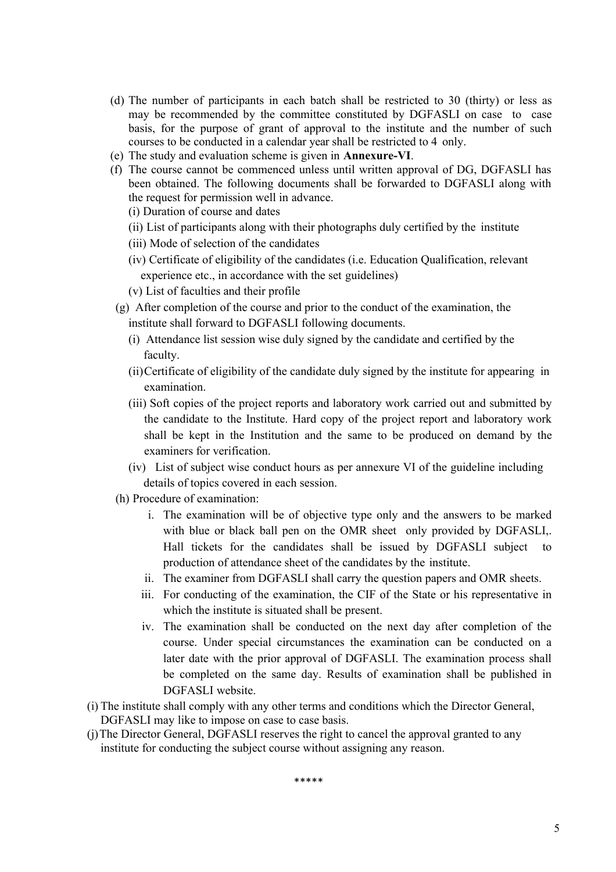- (d) The number of participants in each batch shall be restricted to 30 (thirty) or less as may be recommended by the committee constituted by DGFASLI on case to case basis, for the purpose of grant of approval to the institute and the number of such courses to be conducted in a calendar year shall be restricted to 4 only.
- (e) The study and evaluation scheme is given in **Annexure-VI**.
- (f) The course cannot be commenced unless until written approval of DG, DGFASLI has been obtained. The following documents shall be forwarded to DGFASLI along with the request for permission well in advance.
	- (i) Duration of course and dates
	- (ii) List of participants along with their photographs duly certified by the institute
	- (iii) Mode of selection of the candidates
	- (iv) Certificate of eligibility of the candidates (i.e. Education Qualification, relevant experience etc., in accordance with the set guidelines)
	- (v) List of faculties and their profile
- (g) After completion of the course and prior to the conduct of the examination, the institute shall forward to DGFASLI following documents.
	- (i) Attendance list session wise duly signed by the candidate and certified by the faculty.
	- (ii)Certificate of eligibility of the candidate duly signed by the institute for appearing in examination.
	- (iii) Soft copies of the project reports and laboratory work carried out and submitted by the candidate to the Institute. Hard copy of the project report and laboratory work shall be kept in the Institution and the same to be produced on demand by the examiners for verification.
	- (iv) List of subject wise conduct hours as per annexure VI of the guideline including details of topics covered in each session.
- (h) Procedure of examination:
	- i. The examination will be of objective type only and the answers to be marked with blue or black ball pen on the OMR sheet only provided by DGFASLI,. Hall tickets for the candidates shall be issued by DGFASLI subject to production of attendance sheet of the candidates by the institute.
	- ii. The examiner from DGFASLI shall carry the question papers and OMR sheets.
	- iii. For conducting of the examination, the CIF of the State or his representative in which the institute is situated shall be present.
	- iv. The examination shall be conducted on the next day after completion of the course. Under special circumstances the examination can be conducted on a later date with the prior approval of DGFASLI. The examination process shall be completed on the same day. Results of examination shall be published in DGFASLI website.
- (i) The institute shall comply with any other terms and conditions which the Director General, DGFASLI may like to impose on case to case basis.
- (j)The Director General, DGFASLI reserves the right to cancel the approval granted to any institute for conducting the subject course without assigning any reason.

\*\*\*\*\*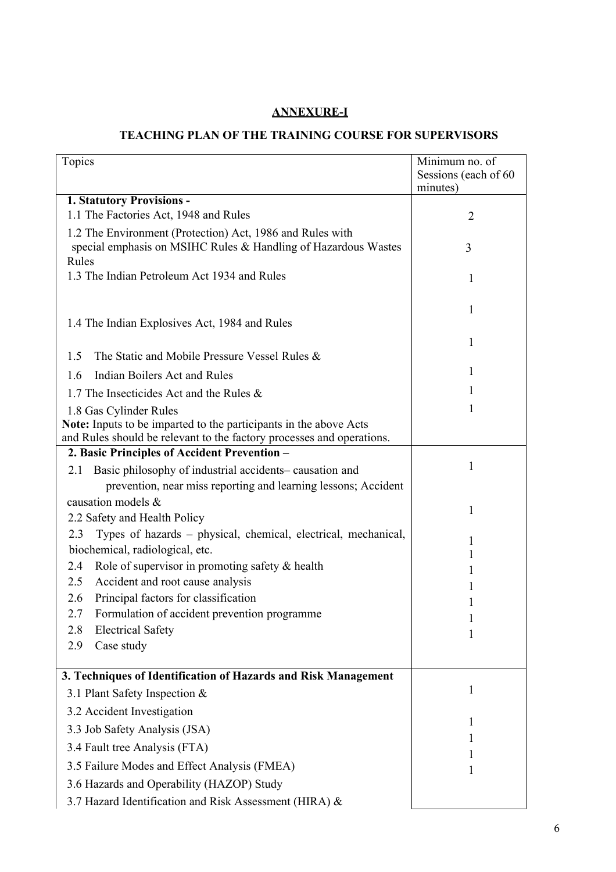## **ANNEXURE-I**

## **TEACHING PLAN OF THE TRAINING COURSE FOR SUPERVISORS**

| Topics                                                                                                                                     | Minimum no. of                   |
|--------------------------------------------------------------------------------------------------------------------------------------------|----------------------------------|
|                                                                                                                                            | Sessions (each of 60<br>minutes) |
| 1. Statutory Provisions -                                                                                                                  |                                  |
| 1.1 The Factories Act, 1948 and Rules                                                                                                      | 2                                |
| 1.2 The Environment (Protection) Act, 1986 and Rules with<br>special emphasis on MSIHC Rules & Handling of Hazardous Wastes                | 3                                |
| Rules<br>1.3 The Indian Petroleum Act 1934 and Rules                                                                                       | 1                                |
| 1.4 The Indian Explosives Act, 1984 and Rules                                                                                              | 1                                |
| The Static and Mobile Pressure Vessel Rules &<br>1.5                                                                                       | 1                                |
| Indian Boilers Act and Rules<br>1.6                                                                                                        | 1                                |
| 1.7 The Insecticides Act and the Rules &                                                                                                   | 1                                |
| 1.8 Gas Cylinder Rules                                                                                                                     | 1                                |
| Note: Inputs to be imparted to the participants in the above Acts<br>and Rules should be relevant to the factory processes and operations. |                                  |
| 2. Basic Principles of Accident Prevention -                                                                                               |                                  |
| Basic philosophy of industrial accidents-causation and<br>2.1                                                                              | 1                                |
| prevention, near miss reporting and learning lessons; Accident                                                                             |                                  |
| causation models &                                                                                                                         | 1                                |
| 2.2 Safety and Health Policy                                                                                                               |                                  |
| Types of hazards – physical, chemical, electrical, mechanical,<br>2.3                                                                      | 1                                |
| biochemical, radiological, etc.                                                                                                            | 1                                |
| Role of supervisor in promoting safety & health<br>2.4                                                                                     | 1                                |
| Accident and root cause analysis<br>2.5                                                                                                    | 1                                |
| Principal factors for classification<br>2.6                                                                                                | 1                                |
| Formulation of accident prevention programme<br>2.7                                                                                        |                                  |
| <b>Electrical Safety</b><br>2.8<br>2.9                                                                                                     |                                  |
| Case study                                                                                                                                 |                                  |
| 3. Techniques of Identification of Hazards and Risk Management                                                                             |                                  |
| 3.1 Plant Safety Inspection &                                                                                                              | 1                                |
| 3.2 Accident Investigation                                                                                                                 |                                  |
| 3.3 Job Safety Analysis (JSA)                                                                                                              | T                                |
| 3.4 Fault tree Analysis (FTA)                                                                                                              | 1                                |
| 3.5 Failure Modes and Effect Analysis (FMEA)                                                                                               | 1                                |
| 3.6 Hazards and Operability (HAZOP) Study                                                                                                  |                                  |
| 3.7 Hazard Identification and Risk Assessment (HIRA) &                                                                                     |                                  |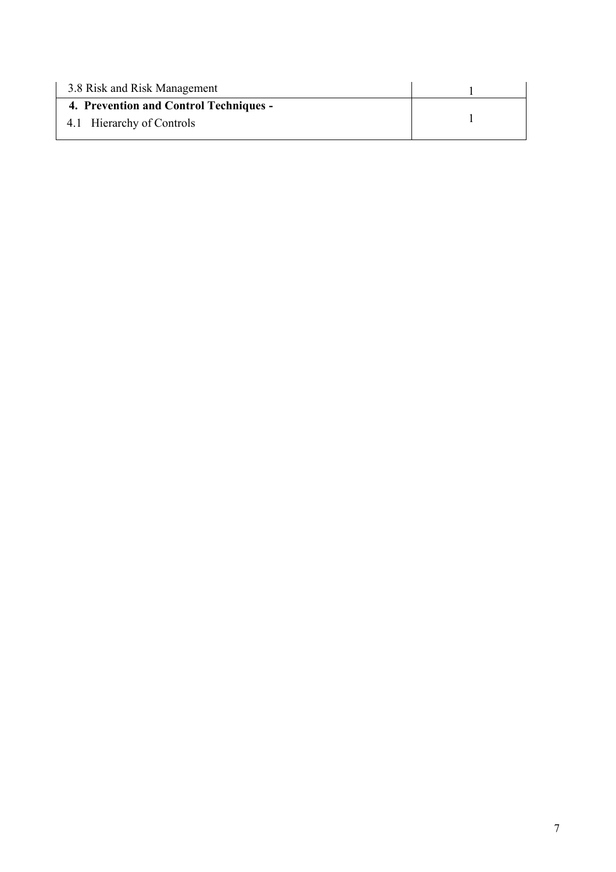| 3.8 Risk and Risk Management           |  |
|----------------------------------------|--|
| 4. Prevention and Control Techniques - |  |
| 4.1 Hierarchy of Controls              |  |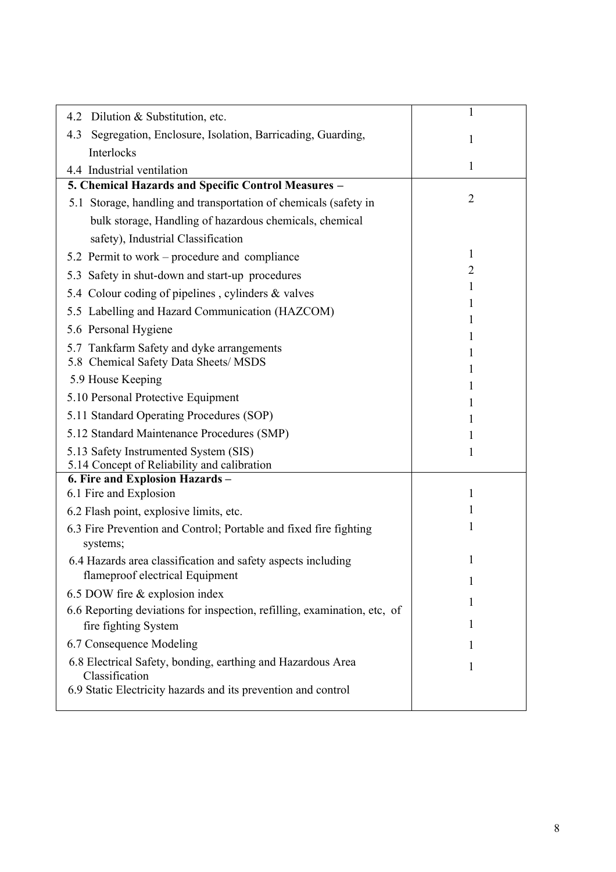| Dilution & Substitution, etc.<br>4.2                                                             | 1              |
|--------------------------------------------------------------------------------------------------|----------------|
| Segregation, Enclosure, Isolation, Barricading, Guarding,<br>4.3                                 | 1              |
| Interlocks                                                                                       |                |
| 4.4 Industrial ventilation                                                                       | $\mathbf{1}$   |
| 5. Chemical Hazards and Specific Control Measures -                                              |                |
| 5.1 Storage, handling and transportation of chemicals (safety in                                 | $\overline{2}$ |
| bulk storage, Handling of hazardous chemicals, chemical                                          |                |
| safety), Industrial Classification                                                               |                |
| 5.2 Permit to work – procedure and compliance                                                    | 1              |
| 5.3 Safety in shut-down and start-up procedures                                                  | 2              |
| 5.4 Colour coding of pipelines, cylinders & valves                                               | 1              |
| 5.5 Labelling and Hazard Communication (HAZCOM)                                                  |                |
| 5.6 Personal Hygiene                                                                             |                |
| 5.7 Tankfarm Safety and dyke arrangements                                                        |                |
| 5.8 Chemical Safety Data Sheets/ MSDS                                                            |                |
| 5.9 House Keeping                                                                                |                |
| 5.10 Personal Protective Equipment                                                               |                |
| 5.11 Standard Operating Procedures (SOP)                                                         |                |
| 5.12 Standard Maintenance Procedures (SMP)                                                       |                |
| 5.13 Safety Instrumented System (SIS)<br>5.14 Concept of Reliability and calibration             |                |
| 6. Fire and Explosion Hazards -                                                                  |                |
| 6.1 Fire and Explosion                                                                           | 1              |
| 6.2 Flash point, explosive limits, etc.                                                          | T              |
| 6.3 Fire Prevention and Control; Portable and fixed fire fighting                                |                |
| systems;                                                                                         |                |
| 6.4 Hazards area classification and safety aspects including<br>flameproof electrical Equipment  | 1<br>1         |
| 6.5 DOW fire & explosion index                                                                   |                |
| 6.6 Reporting deviations for inspection, refilling, examination, etc, of<br>fire fighting System | I<br>1         |
| 6.7 Consequence Modeling                                                                         |                |
| 6.8 Electrical Safety, bonding, earthing and Hazardous Area                                      |                |
| Classification                                                                                   | 1              |
| 6.9 Static Electricity hazards and its prevention and control                                    |                |
|                                                                                                  |                |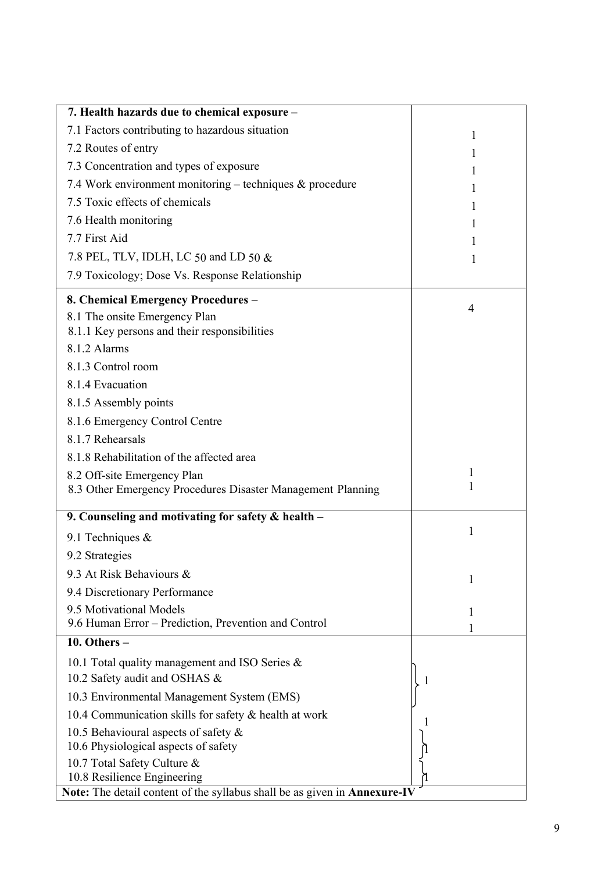| 7. Health hazards due to chemical exposure -                              |                   |
|---------------------------------------------------------------------------|-------------------|
| 7.1 Factors contributing to hazardous situation                           | 1                 |
| 7.2 Routes of entry                                                       | $\mathbf{I}$      |
| 7.3 Concentration and types of exposure                                   | 1                 |
| 7.4 Work environment monitoring – techniques $\&$ procedure               | 1                 |
| 7.5 Toxic effects of chemicals                                            | 1                 |
| 7.6 Health monitoring                                                     | 1                 |
| 7.7 First Aid                                                             | 1                 |
| 7.8 PEL, TLV, IDLH, LC 50 and LD 50 &                                     | 1                 |
| 7.9 Toxicology; Dose Vs. Response Relationship                            |                   |
| 8. Chemical Emergency Procedures -                                        | 4                 |
| 8.1 The onsite Emergency Plan                                             |                   |
| 8.1.1 Key persons and their responsibilities                              |                   |
| 8.1.2 Alarms                                                              |                   |
| 8.1.3 Control room                                                        |                   |
| 8.1.4 Evacuation                                                          |                   |
| 8.1.5 Assembly points                                                     |                   |
| 8.1.6 Emergency Control Centre                                            |                   |
| 8.1.7 Rehearsals                                                          |                   |
| 8.1.8 Rehabilitation of the affected area                                 |                   |
| 8.2 Off-site Emergency Plan                                               | $\mathbf{1}$<br>1 |
| 8.3 Other Emergency Procedures Disaster Management Planning               |                   |
| 9. Counseling and motivating for safety & health -                        |                   |
| 9.1 Techniques $&$                                                        | 1                 |
| 9.2 Strategies                                                            |                   |
| 9.3 At Risk Behaviours &                                                  | 1                 |
| 9.4 Discretionary Performance                                             |                   |
| 9.5 Motivational Models                                                   | 1                 |
| 9.6 Human Error – Prediction, Prevention and Control                      |                   |
| 10. Others $-$                                                            |                   |
| 10.1 Total quality management and ISO Series &                            |                   |
| 10.2 Safety audit and OSHAS &                                             | 1                 |
| 10.3 Environmental Management System (EMS)                                |                   |
| 10.4 Communication skills for safety & health at work                     |                   |
| 10.5 Behavioural aspects of safety &                                      |                   |
| 10.6 Physiological aspects of safety                                      |                   |
| 10.7 Total Safety Culture &<br>10.8 Resilience Engineering                |                   |
| Note: The detail content of the syllabus shall be as given in Annexure-IV |                   |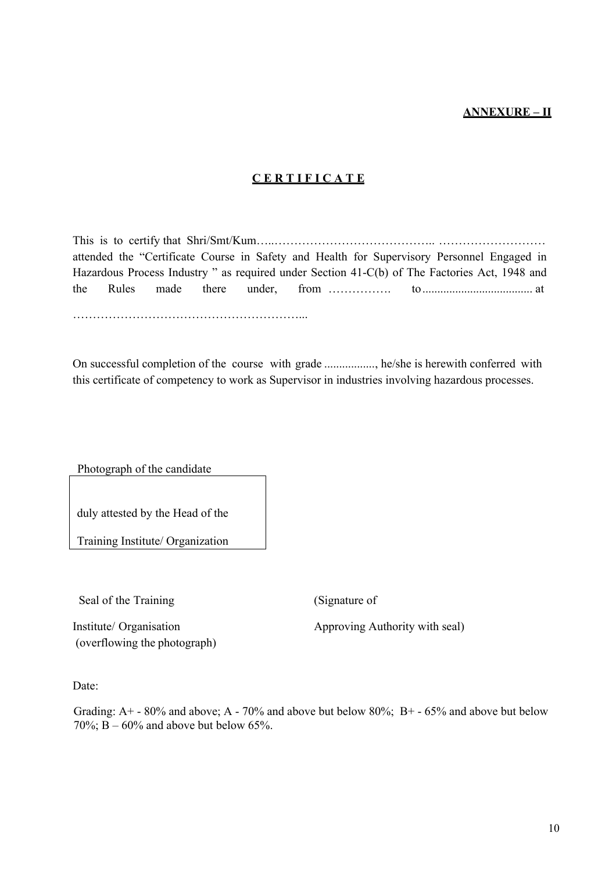## **ANNEXURE – II**

## **C E R T I F I C A T E**

This is to certify that Shri/Smt/Kum…..………………………………….. ……………………… attended the "Certificate Course in Safety and Health for Supervisory Personnel Engaged in Hazardous Process Industry " as required under Section 41-C(b) of The Factories Act, 1948 and the Rules made there under, from ……………. to..................................... at

…………………………………………………...

On successful completion of the course with grade ................., he/she is herewith conferred with this certificate of competency to work as Supervisor in industries involving hazardous processes.

Photograph of the candidate

duly attested by the Head of the

Training Institute/ Organization

Seal of the Training (Signature of

(overflowing the photograph)

Institute/ Organisation Approving Authority with seal)

Date:

Grading: A+ - 80% and above; A - 70% and above but below 80%; B+ - 65% and above but below 70%;  $B - 60%$  and above but below 65%.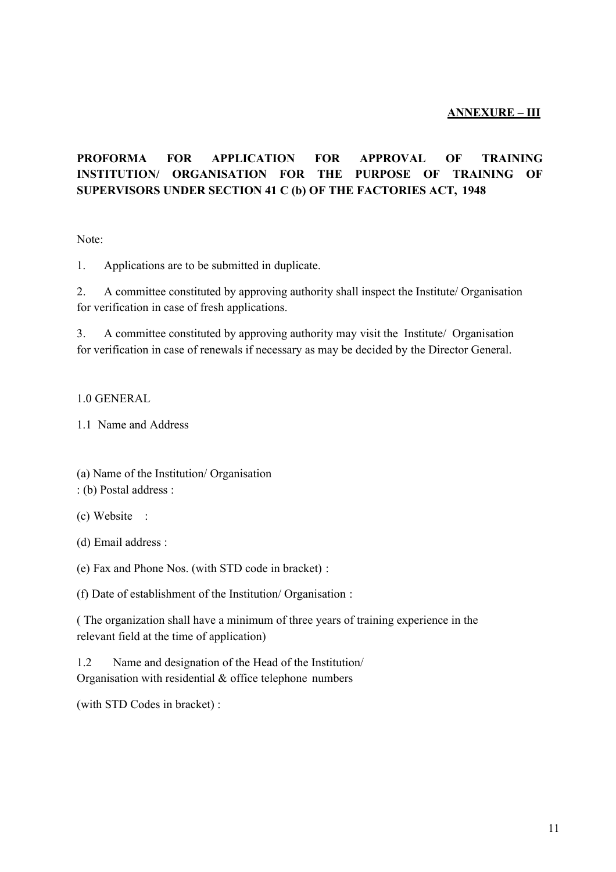## **ANNEXURE – III**

## **PROFORMA FOR APPLICATION FOR APPROVAL OF TRAINING INSTITUTION/ ORGANISATION FOR THE PURPOSE OF TRAINING OF SUPERVISORS UNDER SECTION 41 C (b) OF THE FACTORIES ACT, 1948**

Note:

1. Applications are to be submitted in duplicate.

2. A committee constituted by approving authority shall inspect the Institute/ Organisation for verification in case of fresh applications.

3. A committee constituted by approving authority may visit the Institute/ Organisation for verification in case of renewals if necessary as may be decided by the Director General.

#### 1.0 GENERAL

1.1 Name and Address

(a) Name of the Institution/ Organisation

: (b) Postal address :

(c) Website :

(d) Email address :

(e) Fax and Phone Nos. (with STD code in bracket) :

(f) Date of establishment of the Institution/ Organisation :

( The organization shall have a minimum of three years of training experience in the relevant field at the time of application)

1.2 Name and designation of the Head of the Institution/ Organisation with residential & office telephone numbers

(with STD Codes in bracket) :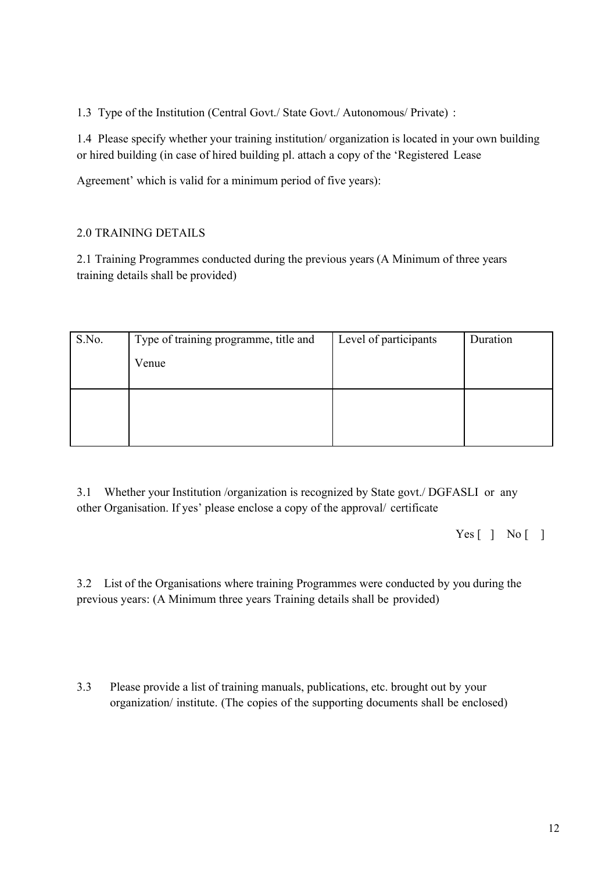1.3 Type of the Institution (Central Govt./ State Govt./ Autonomous/ Private) :

1.4 Please specify whether your training institution/ organization is located in your own building or hired building (in case of hired building pl. attach a copy of the 'Registered Lease

Agreement' which is valid for a minimum period of five years):

## 2.0 TRAINING DETAILS

2.1 Training Programmes conducted during the previous years (A Minimum of three years training details shall be provided)

| S.No. | Type of training programme, title and | Level of participants | Duration |
|-------|---------------------------------------|-----------------------|----------|
|       | Venue                                 |                       |          |
|       |                                       |                       |          |
|       |                                       |                       |          |
|       |                                       |                       |          |
|       |                                       |                       |          |

3.1 Whether your Institution /organization is recognized by State govt./ DGFASLI or any other Organisation. If yes' please enclose a copy of the approval/ certificate

Yes [ ] No [ ]

3.2 List of the Organisations where training Programmes were conducted by you during the previous years: (A Minimum three years Training details shall be provided)

3.3 Please provide a list of training manuals, publications, etc. brought out by your organization/ institute. (The copies of the supporting documents shall be enclosed)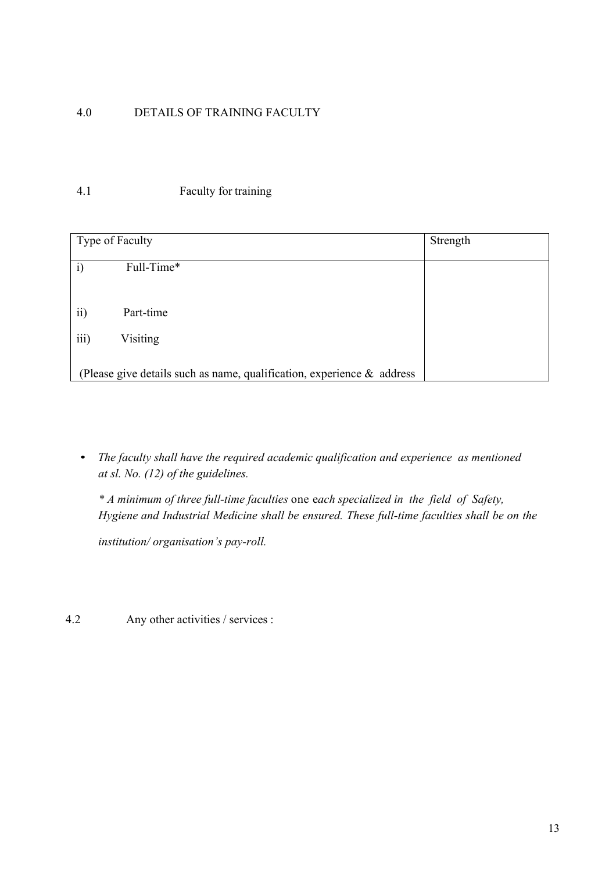## 4.0 DETAILS OF TRAINING FACULTY

## 4.1 Faculty for training

| Type of Faculty |                                                                           | Strength |
|-----------------|---------------------------------------------------------------------------|----------|
| i)              | Full-Time*                                                                |          |
|                 |                                                                           |          |
| $\overline{ii}$ | Part-time                                                                 |          |
| iii)            | Visiting                                                                  |          |
|                 | (Please give details such as name, qualification, experience $\&$ address |          |

• *The faculty shall have the required academic qualification and experience as mentioned at sl. No. (12) of the guidelines.*

*\* A minimum of three full-time faculties* one e*ach specialized in the field of Safety, Hygiene and Industrial Medicine shall be ensured. These full-time faculties shall be on the*

*institution/ organisation's pay-roll.*

4.2 Any other activities / services :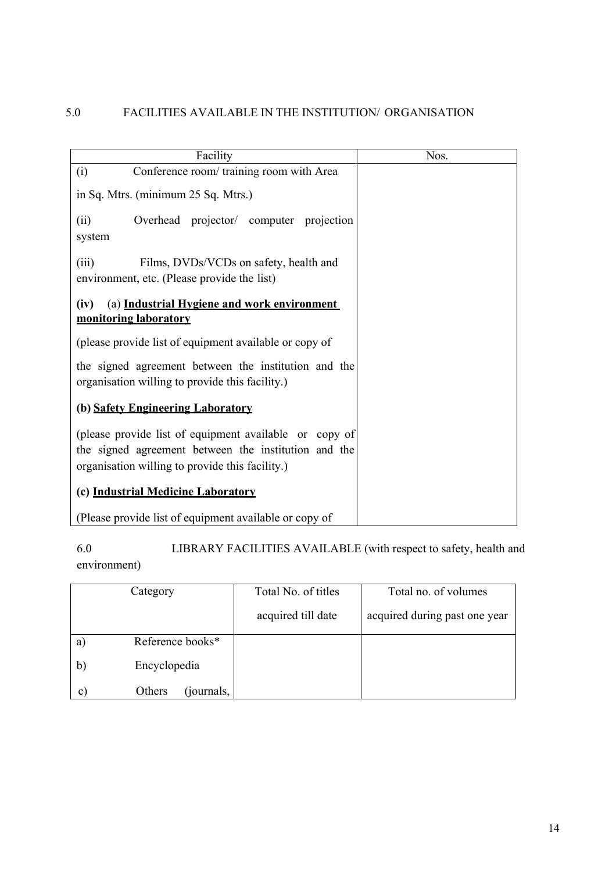| Facility                                                                                                                                                          | Nos. |
|-------------------------------------------------------------------------------------------------------------------------------------------------------------------|------|
| Conference room/ training room with Area<br>(i)                                                                                                                   |      |
| in Sq. Mtrs. (minimum 25 Sq. Mtrs.)                                                                                                                               |      |
| Overhead projector/ computer projection<br>(ii)<br>system                                                                                                         |      |
| (iii)<br>Films, DVDs/VCDs on safety, health and<br>environment, etc. (Please provide the list)                                                                    |      |
| (iv)<br>(a) Industrial Hygiene and work environment<br>monitoring laboratory                                                                                      |      |
| (please provide list of equipment available or copy of                                                                                                            |      |
| the signed agreement between the institution and the<br>organisation willing to provide this facility.)                                                           |      |
| (b) Safety Engineering Laboratory                                                                                                                                 |      |
| (please provide list of equipment available or copy of<br>the signed agreement between the institution and the<br>organisation willing to provide this facility.) |      |
| (c) Industrial Medicine Laboratory                                                                                                                                |      |
| (Please provide list of equipment available or copy of                                                                                                            |      |

6.0 LIBRARY FACILITIES AVAILABLE (with respect to safety, health and environment)

|              | Category                   | Total No. of titles | Total no. of volumes          |
|--------------|----------------------------|---------------------|-------------------------------|
|              |                            | acquired till date  | acquired during past one year |
| a            | Reference books*           |                     |                               |
| $\mathbf{b}$ | Encyclopedia               |                     |                               |
| $\mathbf{c}$ | <i>journals,</i><br>Others |                     |                               |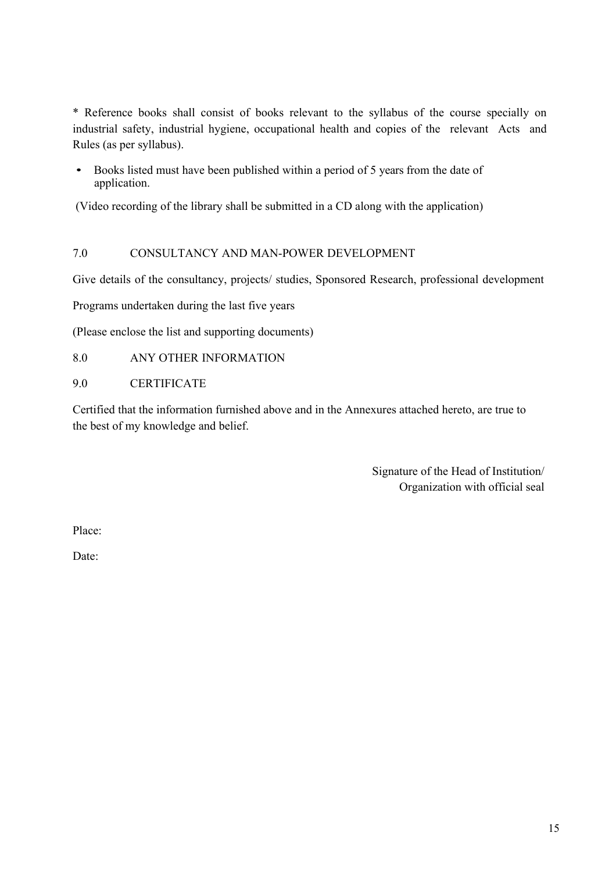\* Reference books shall consist of books relevant to the syllabus of the course specially on industrial safety, industrial hygiene, occupational health and copies of the relevant Acts and Rules (as per syllabus).

• Books listed must have been published within a period of 5 years from the date of application.

(Video recording of the library shall be submitted in a CD along with the application)

## 7.0 CONSULTANCY AND MAN-POWER DEVELOPMENT

Give details of the consultancy, projects/ studies, Sponsored Research, professional development

Programs undertaken during the last five years

(Please enclose the list and supporting documents)

## 8.0 ANY OTHER INFORMATION

9.0 CERTIFICATE

Certified that the information furnished above and in the Annexures attached hereto, are true to the best of my knowledge and belief.

> Signature of the Head of Institution/ Organization with official seal

Place:

Date: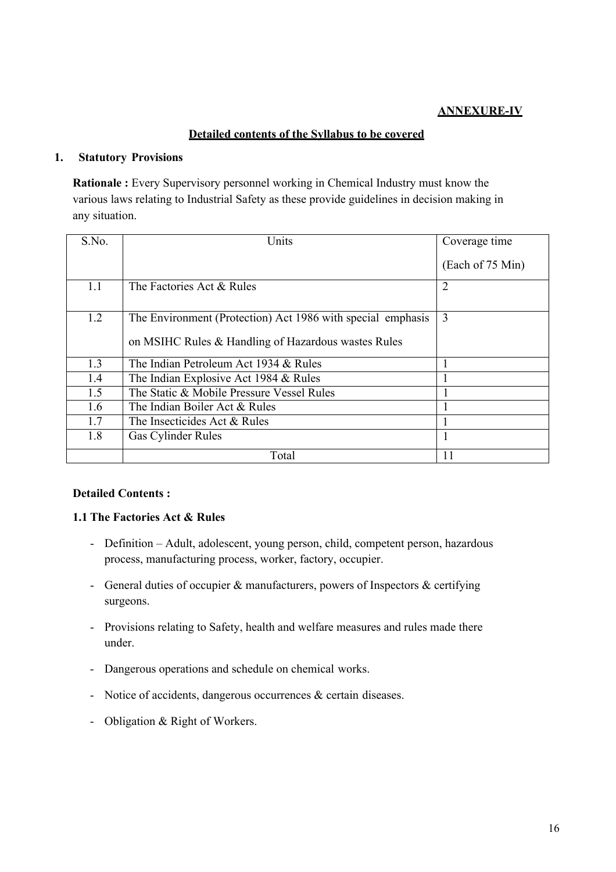## **ANNEXURE-IV**

## **Detailed contents of the Syllabus to be covered**

## **1. Statutory Provisions**

**Rationale :** Every Supervisory personnel working in Chemical Industry must know the various laws relating to Industrial Safety as these provide guidelines in decision making in any situation.

| S.No. | Units                                                       | Coverage time    |
|-------|-------------------------------------------------------------|------------------|
|       |                                                             | (Each of 75 Min) |
| 1.1   | The Factories Act & Rules                                   | $\overline{2}$   |
| 1.2   | The Environment (Protection) Act 1986 with special emphasis | 3                |
|       | on MSIHC Rules & Handling of Hazardous wastes Rules         |                  |
| 1.3   | The Indian Petroleum Act 1934 & Rules                       |                  |
| 1.4   | The Indian Explosive Act 1984 & Rules                       |                  |
| 1.5   | The Static & Mobile Pressure Vessel Rules                   |                  |
| 1.6   | The Indian Boiler Act & Rules                               |                  |
| 1.7   | The Insecticides Act & Rules                                |                  |
| 1.8   | Gas Cylinder Rules                                          |                  |
|       | Total                                                       | 11               |

## **Detailed Contents :**

## **1.1 The Factories Act & Rules**

- Definition Adult, adolescent, young person, child, competent person, hazardous process, manufacturing process, worker, factory, occupier.
- General duties of occupier & manufacturers, powers of Inspectors & certifying surgeons.
- Provisions relating to Safety, health and welfare measures and rules made there under.
- Dangerous operations and schedule on chemical works.
- Notice of accidents, dangerous occurrences & certain diseases.
- Obligation & Right of Workers.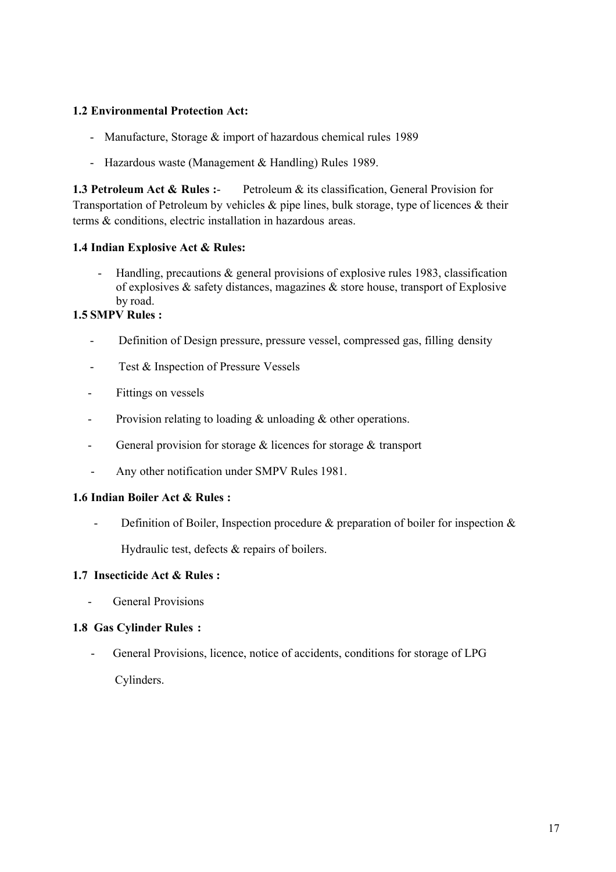## **1.2 Environmental Protection Act:**

- Manufacture, Storage & import of hazardous chemical rules 1989
- Hazardous waste (Management & Handling) Rules 1989.

**1.3 Petroleum Act & Rules :**- Petroleum & its classification, General Provision for Transportation of Petroleum by vehicles & pipe lines, bulk storage, type of licences & their terms & conditions, electric installation in hazardous areas.

## **1.4 Indian Explosive Act & Rules:**

Handling, precautions  $\&$  general provisions of explosive rules 1983, classification of explosives & safety distances, magazines & store house, transport of Explosive by road.

## **1.5 SMPV Rules :**

- Definition of Design pressure, pressure vessel, compressed gas, filling density
- Test & Inspection of Pressure Vessels
- Fittings on vessels
- Provision relating to loading & unloading & other operations.
- General provision for storage & licences for storage & transport
- Any other notification under SMPV Rules 1981.

## **1.6 Indian Boiler Act & Rules :**

Definition of Boiler, Inspection procedure  $\&$  preparation of boiler for inspection  $\&$ 

Hydraulic test, defects & repairs of boilers.

## **1.7 Insecticide Act & Rules :**

General Provisions

## **1.8 Gas Cylinder Rules :**

- General Provisions, licence, notice of accidents, conditions for storage of LPG Cylinders.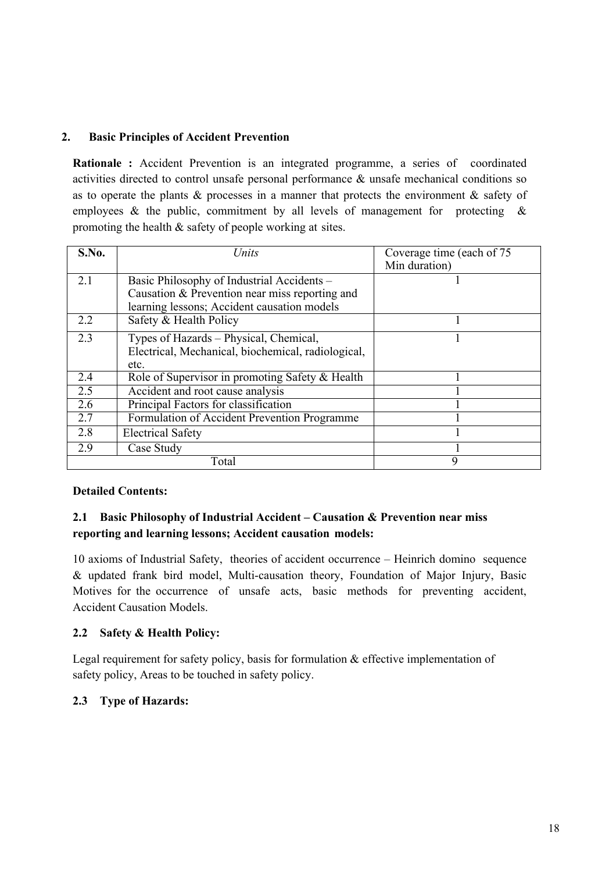## **2. Basic Principles of Accident Prevention**

**Rationale :** Accident Prevention is an integrated programme, a series of coordinated activities directed to control unsafe personal performance & unsafe mechanical conditions so as to operate the plants & processes in a manner that protects the environment & safety of employees  $\&$  the public, commitment by all levels of management for protecting  $\&$ promoting the health & safety of people working at sites.

| S.No. | Units                                                                                                | Coverage time (each of 75<br>Min duration) |
|-------|------------------------------------------------------------------------------------------------------|--------------------------------------------|
| 2.1   | Basic Philosophy of Industrial Accidents -<br>Causation & Prevention near miss reporting and         |                                            |
| 2.2   | learning lessons; Accident causation models<br>Safety & Health Policy                                |                                            |
|       |                                                                                                      |                                            |
| 2.3   | Types of Hazards – Physical, Chemical,<br>Electrical, Mechanical, biochemical, radiological,<br>etc. |                                            |
| 2.4   | Role of Supervisor in promoting Safety & Health                                                      |                                            |
| 2.5   | Accident and root cause analysis                                                                     |                                            |
| 2.6   | Principal Factors for classification                                                                 |                                            |
| 2.7   | Formulation of Accident Prevention Programme                                                         |                                            |
| 2.8   | <b>Electrical Safety</b>                                                                             |                                            |
| 2.9   | Case Study                                                                                           |                                            |
|       | Total                                                                                                | 9                                          |

## **Detailed Contents:**

## **2.1 Basic Philosophy of Industrial Accident – Causation & Prevention near miss reporting and learning lessons; Accident causation models:**

10 axioms of Industrial Safety, theories of accident occurrence – Heinrich domino sequence & updated frank bird model, Multi-causation theory, Foundation of Major Injury, Basic Motives for the occurrence of unsafe acts, basic methods for preventing accident, Accident Causation Models.

## **2.2 Safety & Health Policy:**

Legal requirement for safety policy, basis for formulation & effective implementation of safety policy, Areas to be touched in safety policy.

## **2.3 Type of Hazards:**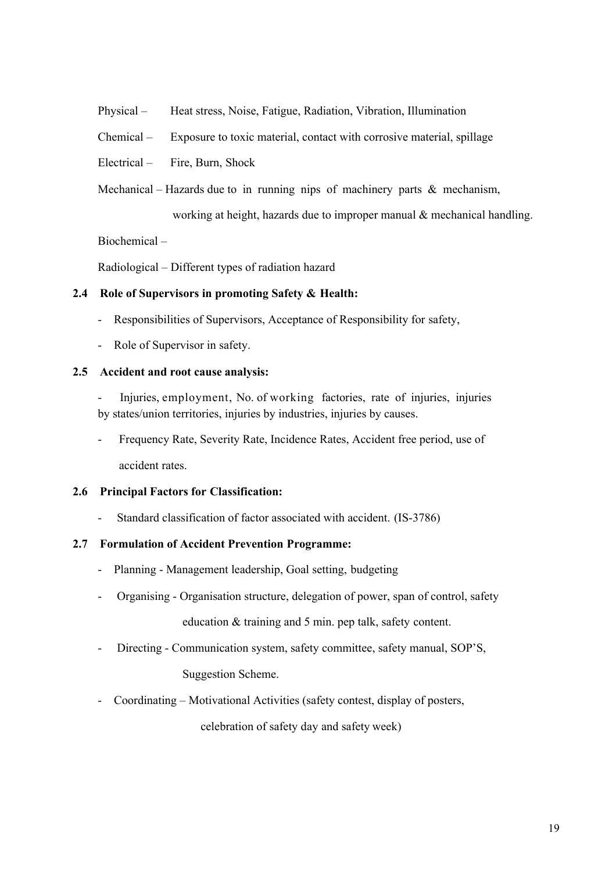- Physical Heat stress, Noise, Fatigue, Radiation, Vibration, Illumination
- Chemical Exposure to toxic material, contact with corrosive material, spillage
- Electrical Fire, Burn, Shock
- Mechanical Hazards due to in running nips of machinery parts  $\&$  mechanism,

working at height, hazards due to improper manual & mechanical handling.

Biochemical –

Radiological – Different types of radiation hazard

#### **2.4 Role of Supervisors in promoting Safety & Health:**

- Responsibilities of Supervisors, Acceptance of Responsibility for safety,
- Role of Supervisor in safety.

#### **2.5 Accident and root cause analysis:**

- Injuries, employment, No. of working factories, rate of injuries, injuries by states/union territories, injuries by industries, injuries by causes.
- Frequency Rate, Severity Rate, Incidence Rates, Accident free period, use of accident rates.

## **2.6 Principal Factors for Classification:**

Standard classification of factor associated with accident. (IS-3786)

## **2.7 Formulation of Accident Prevention Programme:**

- Planning Management leadership, Goal setting, budgeting
- Organising Organisation structure, delegation of power, span of control, safety education & training and 5 min. pep talk, safety content.
- Directing Communication system, safety committee, safety manual, SOP'S,

Suggestion Scheme.

- Coordinating – Motivational Activities (safety contest, display of posters,

celebration of safety day and safety week)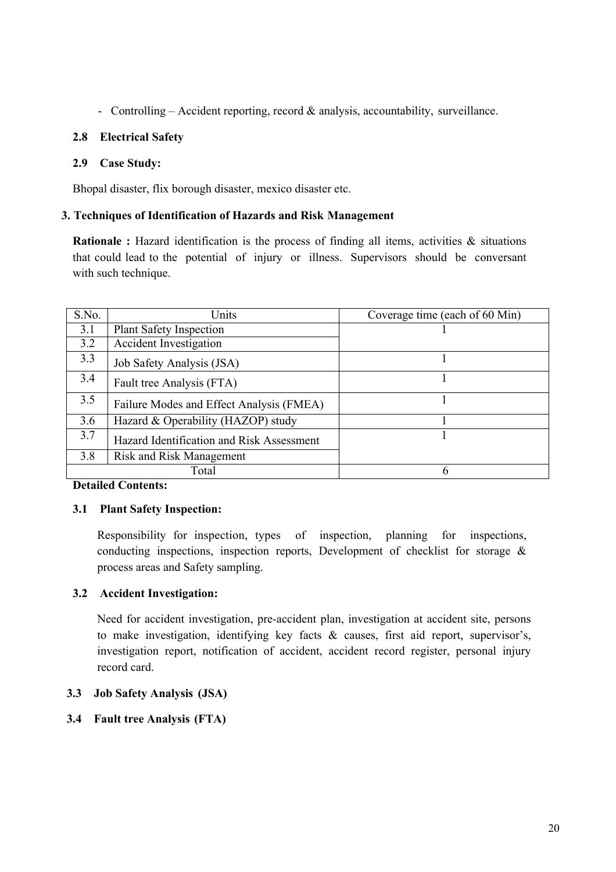- Controlling – Accident reporting, record & analysis, accountability, surveillance.

## **2.8 Electrical Safety**

## **2.9 Case Study:**

Bhopal disaster, flix borough disaster, mexico disaster etc.

## **3. Techniques of Identification of Hazards and Risk Management**

**Rationale :** Hazard identification is the process of finding all items, activities & situations that could lead to the potential of injury or illness. Supervisors should be conversant with such technique.

| S.No. | Units                                     | Coverage time (each of 60 Min) |
|-------|-------------------------------------------|--------------------------------|
| 3.1   | Plant Safety Inspection                   |                                |
| 3.2   | <b>Accident Investigation</b>             |                                |
| 3.3   | Job Safety Analysis (JSA)                 |                                |
| 3.4   | Fault tree Analysis (FTA)                 |                                |
| 3.5   | Failure Modes and Effect Analysis (FMEA)  |                                |
| 3.6   | Hazard & Operability (HAZOP) study        |                                |
| 3.7   | Hazard Identification and Risk Assessment |                                |
| 3.8   | <b>Risk and Risk Management</b>           |                                |
|       | Total                                     | h                              |

## **Detailed Contents:**

## **3.1 Plant Safety Inspection:**

Responsibility for inspection, types of inspection, planning for inspections, conducting inspections, inspection reports, Development of checklist for storage & process areas and Safety sampling.

## **3.2 Accident Investigation:**

Need for accident investigation, pre-accident plan, investigation at accident site, persons to make investigation, identifying key facts & causes, first aid report, supervisor's, investigation report, notification of accident, accident record register, personal injury record card.

## **3.3 Job Safety Analysis (JSA)**

## **3.4 Fault tree Analysis (FTA)**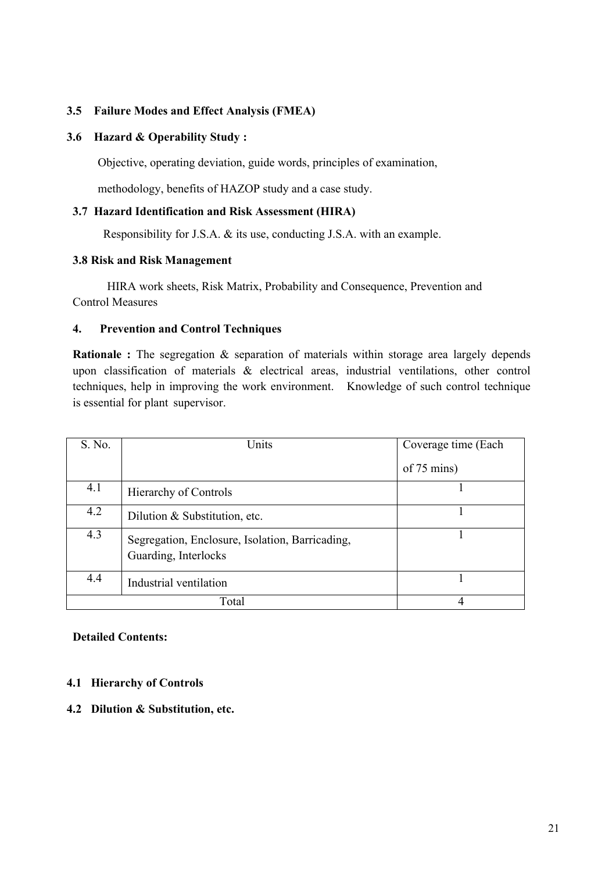## **3.5 Failure Modes and Effect Analysis (FMEA)**

#### **3.6 Hazard & Operability Study :**

Objective, operating deviation, guide words, principles of examination,

methodology, benefits of HAZOP study and a case study.

## **3.7 Hazard Identification and Risk Assessment (HIRA)**

Responsibility for J.S.A. & its use, conducting J.S.A. with an example.

#### **3.8 Risk and Risk Management**

HIRA work sheets, Risk Matrix, Probability and Consequence, Prevention and Control Measures

#### **4. Prevention and Control Techniques**

**Rationale :** The segregation & separation of materials within storage area largely depends upon classification of materials & electrical areas, industrial ventilations, other control techniques, help in improving the work environment. Knowledge of such control technique is essential for plant supervisor.

| S. No. | Units                                                                   | Coverage time (Each    |
|--------|-------------------------------------------------------------------------|------------------------|
|        |                                                                         | of $75 \text{ mins}$ ) |
| 4.1    | Hierarchy of Controls                                                   |                        |
| 4.2    | Dilution & Substitution, etc.                                           |                        |
| 4.3    | Segregation, Enclosure, Isolation, Barricading,<br>Guarding, Interlocks |                        |
| 4.4    | Industrial ventilation                                                  |                        |
|        | Total                                                                   |                        |

#### **Detailed Contents:**

#### **4.1 Hierarchy of Controls**

**4.2 Dilution & Substitution, etc.**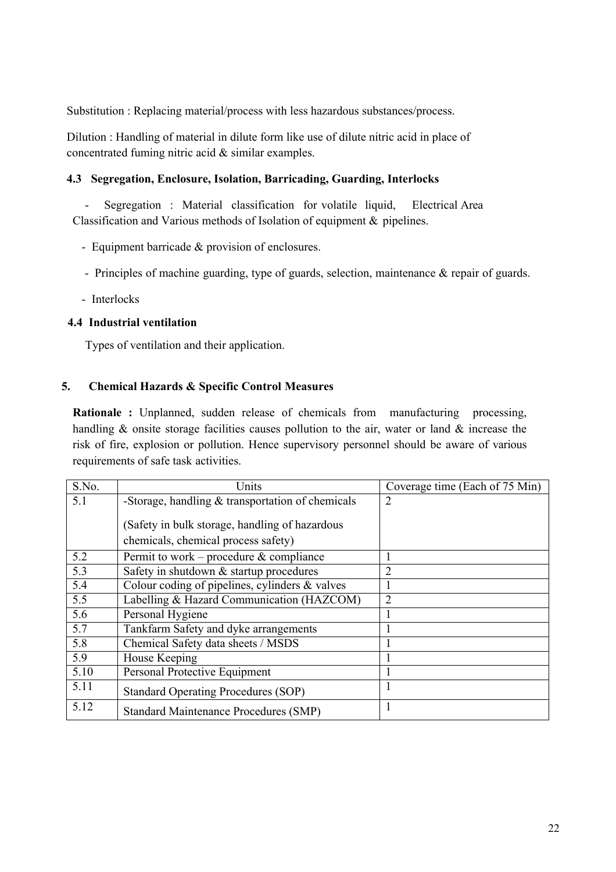Substitution : Replacing material/process with less hazardous substances/process.

Dilution : Handling of material in dilute form like use of dilute nitric acid in place of concentrated fuming nitric acid & similar examples.

## **4.3 Segregation, Enclosure, Isolation, Barricading, Guarding, Interlocks**

- Segregation : Material classification for volatile liquid, Electrical Area Classification and Various methods of Isolation of equipment & pipelines.

- Equipment barricade & provision of enclosures.
- Principles of machine guarding, type of guards, selection, maintenance & repair of guards.
- Interlocks

## **4.4 Industrial ventilation**

Types of ventilation and their application.

## **5. Chemical Hazards & Specific Control Measures**

**Rationale :** Unplanned, sudden release of chemicals from manufacturing processing, handling & onsite storage facilities causes pollution to the air, water or land & increase the risk of fire, explosion or pollution. Hence supervisory personnel should be aware of various requirements of safe task activities.

| S.No.            | Units                                              | Coverage time (Each of $75 \overline{Min}$ ) |
|------------------|----------------------------------------------------|----------------------------------------------|
| 5.1              | -Storage, handling $&$ transportation of chemicals | $\overline{2}$                               |
|                  |                                                    |                                              |
|                  | (Safety in bulk storage, handling of hazardous     |                                              |
|                  | chemicals, chemical process safety)                |                                              |
| 5.2              | Permit to work – procedure $\&$ compliance         |                                              |
| $\overline{5.3}$ | Safety in shutdown & startup procedures            | 2                                            |
| 5.4              | Colour coding of pipelines, cylinders & valves     |                                              |
| 5.5              | Labelling & Hazard Communication (HAZCOM)          | $\overline{2}$                               |
| 5.6              | Personal Hygiene                                   |                                              |
| 5.7              | Tankfarm Safety and dyke arrangements              |                                              |
| 5.8              | Chemical Safety data sheets / MSDS                 |                                              |
| 5.9              | House Keeping                                      |                                              |
| 5.10             | Personal Protective Equipment                      |                                              |
| 5.11             | <b>Standard Operating Procedures (SOP)</b>         |                                              |
| 5.12             | <b>Standard Maintenance Procedures (SMP)</b>       | 1                                            |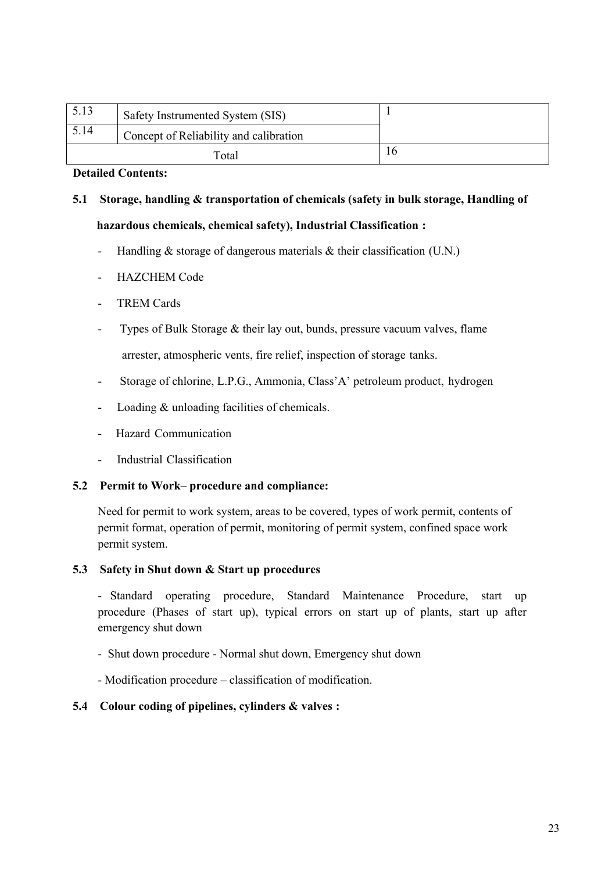| 5.13 | Safety Instrumented System (SIS)       |    |
|------|----------------------------------------|----|
| 5.14 | Concept of Reliability and calibration |    |
|      | Total                                  | 10 |

## **Detailed Contents:**

# **5.1 Storage, handling & transportation of chemicals (safety in bulk storage, Handling of**

## **hazardous chemicals, chemical safety), Industrial Classification :**

- Handling  $&$  storage of dangerous materials  $&$  their classification (U.N.)
- HAZCHEM Code
- TREM Cards
- Types of Bulk Storage & their lay out, bunds, pressure vacuum valves, flame arrester, atmospheric vents, fire relief, inspection of storage tanks.
- Storage of chlorine, L.P.G., Ammonia, Class'A' petroleum product, hydrogen
- Loading & unloading facilities of chemicals.
- Hazard Communication
- Industrial Classification

## **5.2 Permit to Work– procedure and compliance:**

Need for permit to work system, areas to be covered, types of work permit, contents of permit format, operation of permit, monitoring of permit system, confined space work permit system.

## **5.3 Safety in Shut down & Start up procedures**

- Standard operating procedure, Standard Maintenance Procedure, start up procedure (Phases of start up), typical errors on start up of plants, start up after emergency shut down

- Shut down procedure Normal shut down, Emergency shut down
- Modification procedure classification of modification.

## **5.4 Colour coding of pipelines, cylinders & valves :**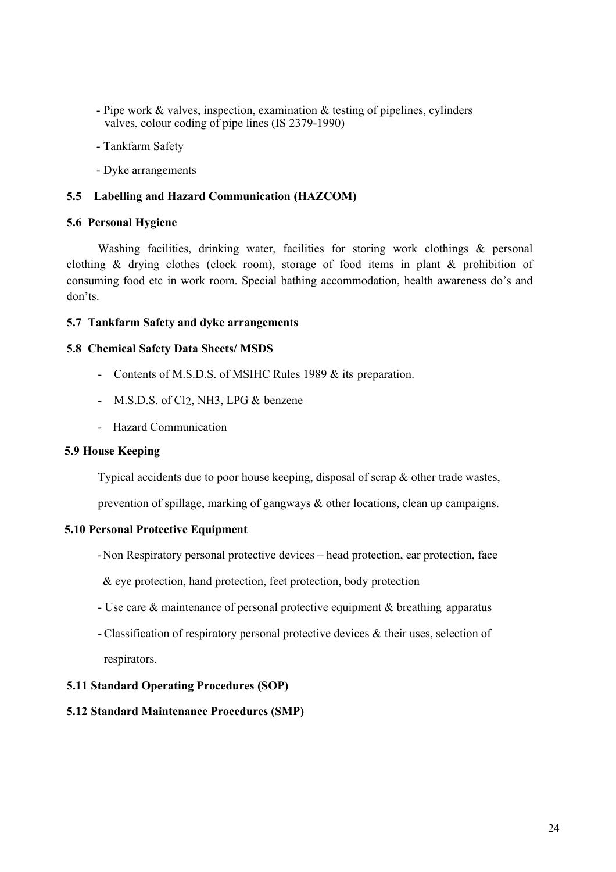- Pipe work & valves, inspection, examination & testing of pipelines, cylinders valves, colour coding of pipe lines (IS 2379-1990)
- Tankfarm Safety
- Dyke arrangements

#### **5.5 Labelling and Hazard Communication (HAZCOM)**

#### **5.6 Personal Hygiene**

Washing facilities, drinking water, facilities for storing work clothings & personal clothing & drying clothes (clock room), storage of food items in plant & prohibition of consuming food etc in work room. Special bathing accommodation, health awareness do's and don'ts.

#### **5.7 Tankfarm Safety and dyke arrangements**

#### **5.8 Chemical Safety Data Sheets/ MSDS**

- Contents of M.S.D.S. of MSIHC Rules 1989 & its preparation.
- M.S.D.S. of Cl<sub>2</sub>, NH3, LPG & benzene
- Hazard Communication

#### **5.9 House Keeping**

Typical accidents due to poor house keeping, disposal of scrap & other trade wastes,

prevention of spillage, marking of gangways & other locations, clean up campaigns.

## **5.10 Personal Protective Equipment**

-Non Respiratory personal protective devices – head protection, ear protection, face

& eye protection, hand protection, feet protection, body protection

- Use care & maintenance of personal protective equipment & breathing apparatus
- Classification of respiratory personal protective devices & their uses, selection of respirators.

## **5.11 Standard Operating Procedures (SOP)**

## **5.12 Standard Maintenance Procedures (SMP)**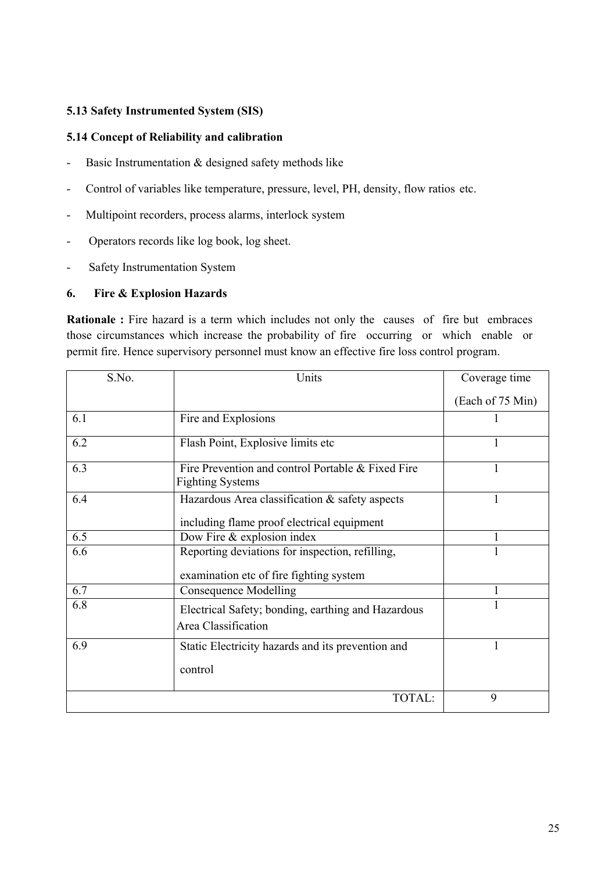## **5.13 Safety Instrumented System (SIS)**

## **5.14 Concept of Reliability and calibration**

- Basic Instrumentation & designed safety methods like
- Control of variables like temperature, pressure, level, PH, density, flow ratios etc.
- Multipoint recorders, process alarms, interlock system
- Operators records like log book, log sheet.
- Safety Instrumentation System

## **6. Fire & Explosion Hazards**

**Rationale :** Fire hazard is a term which includes not only the causes of fire but embraces those circumstances which increase the probability of fire occurring or which enable or permit fire. Hence supervisory personnel must know an effective fire loss control program.

| S.No. | Units                                                                                        | Coverage time    |
|-------|----------------------------------------------------------------------------------------------|------------------|
|       |                                                                                              | (Each of 75 Min) |
| 6.1   | Fire and Explosions                                                                          |                  |
| 6.2   | Flash Point, Explosive limits etc                                                            |                  |
| 6.3   | Fire Prevention and control Portable & Fixed Fire<br><b>Fighting Systems</b>                 |                  |
| 6.4   | Hazardous Area classification & safety aspects<br>including flame proof electrical equipment |                  |
| 6.5   | Dow Fire & explosion index                                                                   |                  |
| 6.6   | Reporting deviations for inspection, refilling,<br>examination etc of fire fighting system   |                  |
| 6.7   | <b>Consequence Modelling</b>                                                                 |                  |
| 6.8   | Electrical Safety; bonding, earthing and Hazardous<br>Area Classification                    |                  |
| 6.9   | Static Electricity hazards and its prevention and<br>control                                 |                  |
|       | TOTAL:                                                                                       | 9                |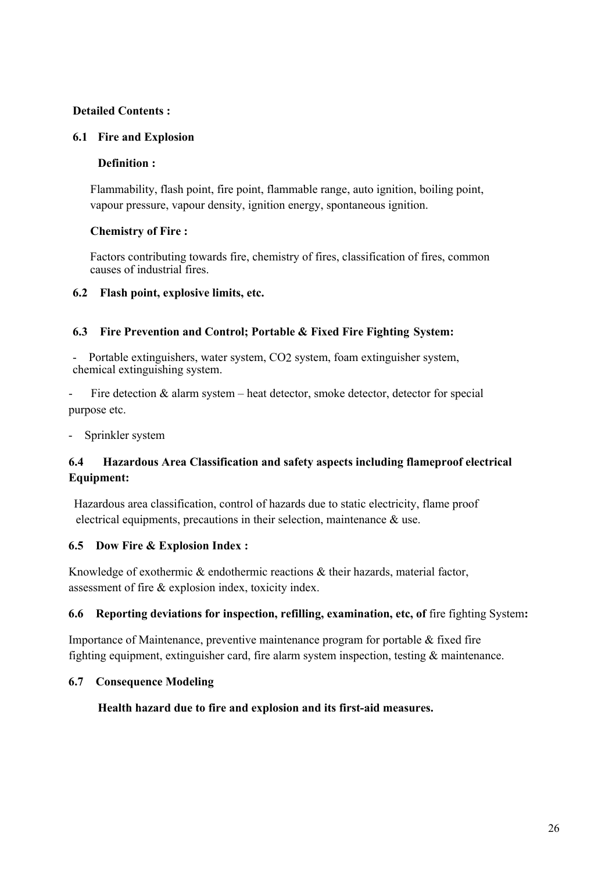## **Detailed Contents :**

## **6.1 Fire and Explosion**

## **Definition :**

Flammability, flash point, fire point, flammable range, auto ignition, boiling point, vapour pressure, vapour density, ignition energy, spontaneous ignition.

## **Chemistry of Fire :**

Factors contributing towards fire, chemistry of fires, classification of fires, common causes of industrial fires.

## **6.2 Flash point, explosive limits, etc.**

## **6.3 Fire Prevention and Control; Portable & Fixed Fire Fighting System:**

- Portable extinguishers, water system, CO2 system, foam extinguisher system, chemical extinguishing system.

Fire detection  $&$  alarm system – heat detector, smoke detector, detector for special purpose etc.

Sprinkler system

## **6.4 Hazardous Area Classification and safety aspects including flameproof electrical Equipment:**

Hazardous area classification, control of hazards due to static electricity, flame proof electrical equipments, precautions in their selection, maintenance & use.

## **6.5 Dow Fire & Explosion Index :**

Knowledge of exothermic & endothermic reactions & their hazards, material factor, assessment of fire & explosion index, toxicity index.

## **6.6 Reporting deviations for inspection, refilling, examination, etc, of** fire fighting System**:**

Importance of Maintenance, preventive maintenance program for portable & fixed fire fighting equipment, extinguisher card, fire alarm system inspection, testing & maintenance.

## **6.7 Consequence Modeling**

## **Health hazard due to fire and explosion and its first-aid measures.**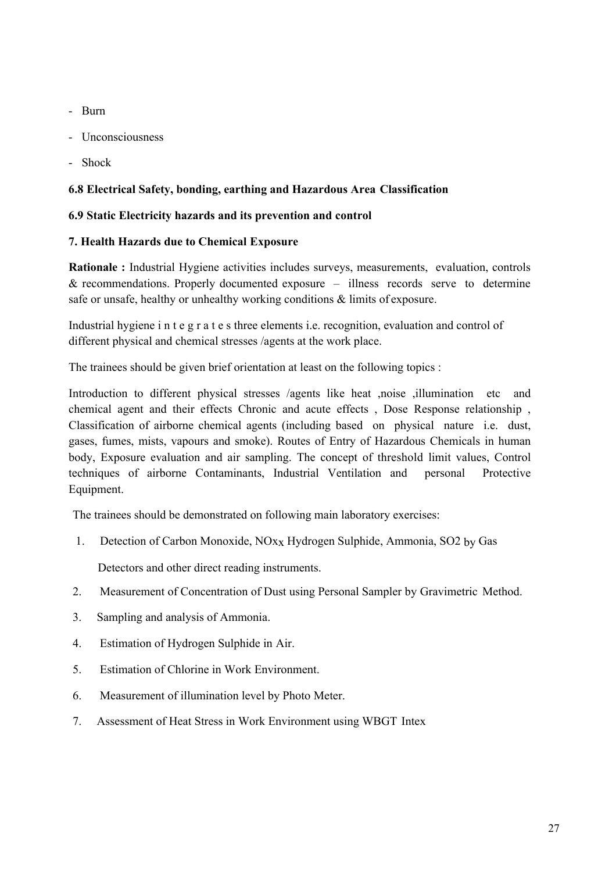- Burn
- Unconsciousness
- Shock

## **6.8 Electrical Safety, bonding, earthing and Hazardous Area Classification**

## **6.9 Static Electricity hazards and its prevention and control**

## **7. Health Hazards due to Chemical Exposure**

**Rationale :** Industrial Hygiene activities includes surveys, measurements, evaluation, controls  $&$  recommendations. Properly documented exposure  $-$  illness records serve to determine safe or unsafe, healthy or unhealthy working conditions & limits of exposure.

Industrial hygiene i n t e g r a t e s three elements i.e. recognition, evaluation and control of different physical and chemical stresses /agents at the work place.

The trainees should be given brief orientation at least on the following topics :

Introduction to different physical stresses /agents like heat ,noise ,illumination etc and chemical agent and their effects Chronic and acute effects , Dose Response relationship , Classification of airborne chemical agents (including based on physical nature i.e. dust, gases, fumes, mists, vapours and smoke). Routes of Entry of Hazardous Chemicals in human body, Exposure evaluation and air sampling. The concept of threshold limit values, Control techniques of airborne Contaminants, Industrial Ventilation and personal Protective Equipment.

The trainees should be demonstrated on following main laboratory exercises:

1. Detection of Carbon Monoxide, NOxx Hydrogen Sulphide, Ammonia, SO2 by Gas

Detectors and other direct reading instruments.

- 2. Measurement of Concentration of Dust using Personal Sampler by Gravimetric Method.
- 3. Sampling and analysis of Ammonia.
- 4. Estimation of Hydrogen Sulphide in Air.
- 5. Estimation of Chlorine in Work Environment.
- 6. Measurement of illumination level by Photo Meter.
- 7. Assessment of Heat Stress in Work Environment using WBGT Intex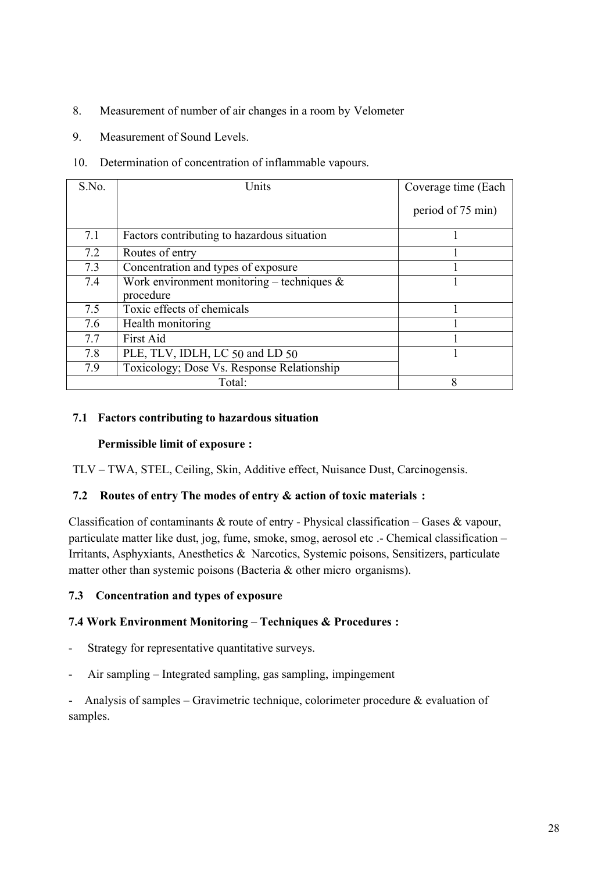- 8. Measurement of number of air changes in a room by Velometer
- 9. Measurement of Sound Levels.
- 10. Determination of concentration of inflammable vapours.

| S.No. | Units                                                      | Coverage time (Each |
|-------|------------------------------------------------------------|---------------------|
|       |                                                            | period of 75 min)   |
| 7.1   | Factors contributing to hazardous situation                |                     |
| 7.2   | Routes of entry                                            |                     |
| 7.3   | Concentration and types of exposure                        |                     |
| 7.4   | Work environment monitoring – techniques $\&$<br>procedure |                     |
| 7.5   | Toxic effects of chemicals                                 |                     |
| 7.6   | Health monitoring                                          |                     |
| 7.7   | First Aid                                                  |                     |
| 7.8   | PLE, TLV, IDLH, LC 50 and LD 50                            |                     |
| 7.9   | Toxicology; Dose Vs. Response Relationship                 |                     |
|       | Total:                                                     | 8                   |

## **7.1 Factors contributing to hazardous situation**

## **Permissible limit of exposure :**

TLV – TWA, STEL, Ceiling, Skin, Additive effect, Nuisance Dust, Carcinogensis.

## **7.2 Routes of entry The modes of entry & action of toxic materials :**

Classification of contaminants  $\&$  route of entry - Physical classification – Gases  $\&$  vapour, particulate matter like dust, jog, fume, smoke, smog, aerosol etc .- Chemical classification – Irritants, Asphyxiants, Anesthetics & Narcotics, Systemic poisons, Sensitizers, particulate matter other than systemic poisons (Bacteria & other micro organisms).

## **7.3 Concentration and types of exposure**

## **7.4 Work Environment Monitoring – Techniques & Procedures :**

- Strategy for representative quantitative surveys.
- Air sampling Integrated sampling, gas sampling, impingement

- Analysis of samples – Gravimetric technique, colorimeter procedure  $\&$  evaluation of samples.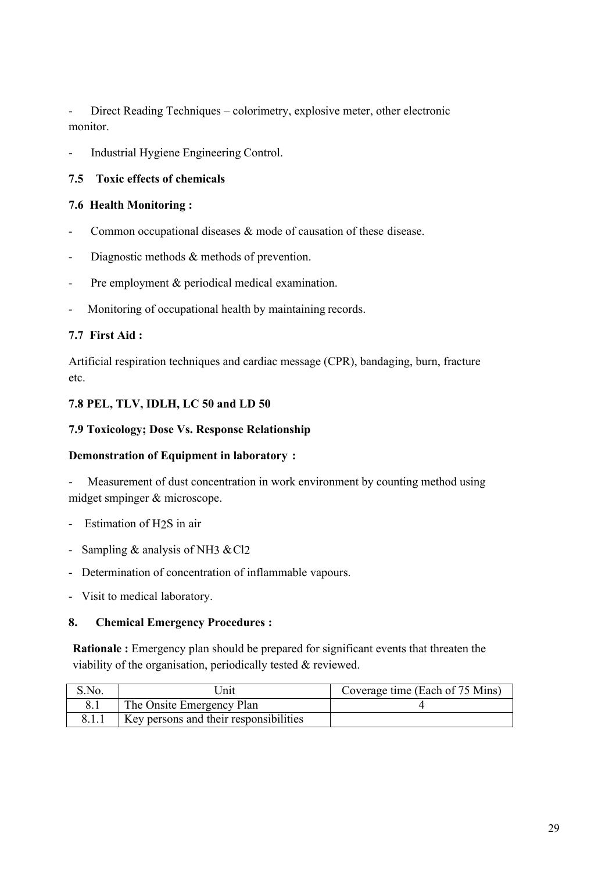- Direct Reading Techniques – colorimetry, explosive meter, other electronic monitor.

Industrial Hygiene Engineering Control.

## **7.5 Toxic effects of chemicals**

## **7.6 Health Monitoring :**

- Common occupational diseases  $\&$  mode of causation of these disease.
- Diagnostic methods & methods of prevention.
- Pre employment & periodical medical examination.
- Monitoring of occupational health by maintaining records.

## **7.7 First Aid :**

Artificial respiration techniques and cardiac message (CPR), bandaging, burn, fracture etc.

## **7.8 PEL, TLV, IDLH, LC 50 and LD 50**

## **7.9 Toxicology; Dose Vs. Response Relationship**

## **Demonstration of Equipment in laboratory :**

- Measurement of dust concentration in work environment by counting method using midget smpinger & microscope.

- Estimation of H2S in air
- Sampling  $&$  analysis of NH3  $&$  Cl<sub>2</sub>
- Determination of concentration of inflammable vapours.
- Visit to medical laboratory.

## **8. Chemical Emergency Procedures :**

**Rationale :** Emergency plan should be prepared for significant events that threaten the viability of the organisation, periodically tested & reviewed.

| S.No. | Jnit                                   | Coverage time (Each of 75 Mins) |
|-------|----------------------------------------|---------------------------------|
|       | The Onsite Emergency Plan              |                                 |
|       | Key persons and their responsibilities |                                 |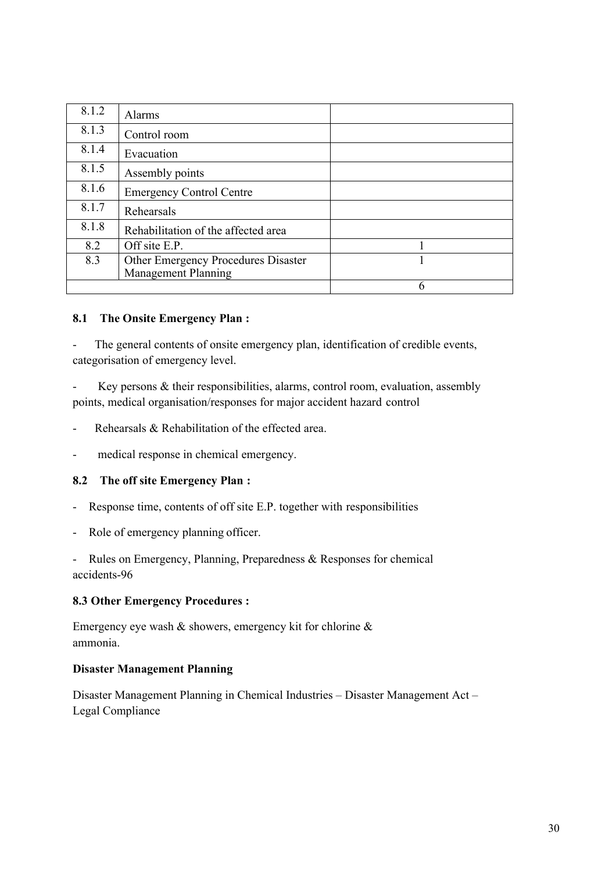| 8.1.2 | Alarms                                                            |  |
|-------|-------------------------------------------------------------------|--|
| 8.1.3 | Control room                                                      |  |
| 8.1.4 | Evacuation                                                        |  |
| 8.1.5 | Assembly points                                                   |  |
| 8.1.6 | <b>Emergency Control Centre</b>                                   |  |
| 8.1.7 | Rehearsals                                                        |  |
| 8.1.8 | Rehabilitation of the affected area                               |  |
| 8.2   | Off site E.P.                                                     |  |
| 8.3   | Other Emergency Procedures Disaster<br><b>Management Planning</b> |  |
|       |                                                                   |  |

## **8.1 The Onsite Emergency Plan :**

The general contents of onsite emergency plan, identification of credible events, categorisation of emergency level.

Key persons & their responsibilities, alarms, control room, evaluation, assembly points, medical organisation/responses for major accident hazard control

- Rehearsals & Rehabilitation of the effected area.
- medical response in chemical emergency.

## **8.2 The off site Emergency Plan :**

- Response time, contents of off site E.P. together with responsibilities
- Role of emergency planning officer.

- Rules on Emergency, Planning, Preparedness & Responses for chemical accidents-96

#### **8.3 Other Emergency Procedures :**

Emergency eye wash & showers, emergency kit for chlorine & ammonia.

#### **Disaster Management Planning**

Disaster Management Planning in Chemical Industries – Disaster Management Act – Legal Compliance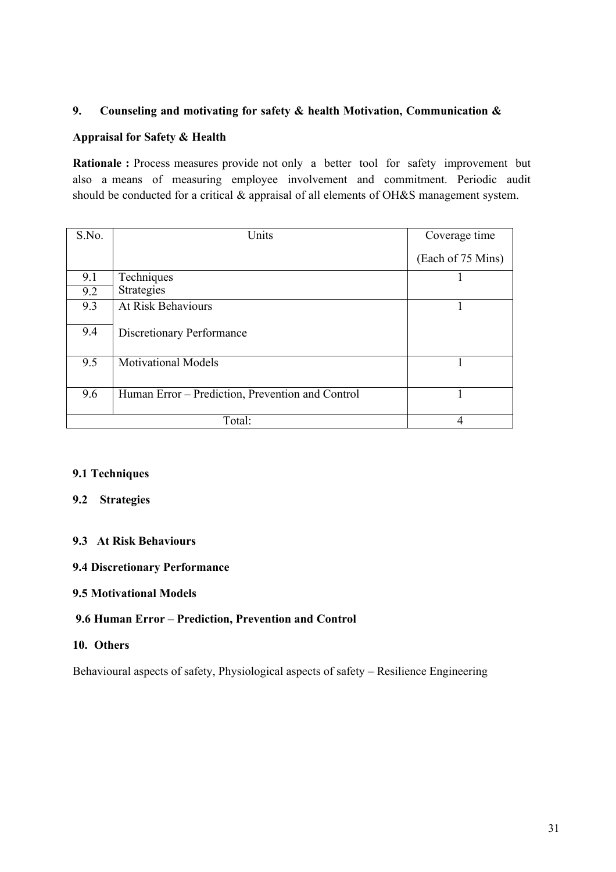## **9. Counseling and motivating for safety & health Motivation, Communication &**

## **Appraisal for Safety & Health**

**Rationale :** Process measures provide not only a better tool for safety improvement but also a means of measuring employee involvement and commitment. Periodic audit should be conducted for a critical & appraisal of all elements of OH&S management system.

| S.No. | Units                                            | Coverage time     |
|-------|--------------------------------------------------|-------------------|
|       |                                                  | (Each of 75 Mins) |
| 9.1   | Techniques                                       |                   |
| 9.2   | <b>Strategies</b>                                |                   |
| 9.3   | At Risk Behaviours                               |                   |
| 9.4   | Discretionary Performance                        |                   |
| 9.5   | <b>Motivational Models</b>                       |                   |
|       |                                                  |                   |
| 9.6   | Human Error – Prediction, Prevention and Control |                   |
|       | Total:                                           | 4                 |

## **9.1 Techniques**

## **9.2 Strategies**

## **9.3 At Risk Behaviours**

## **9.4 Discretionary Performance**

## **9.5 Motivational Models**

## **9.6 Human Error – Prediction, Prevention and Control**

## **10. Others**

Behavioural aspects of safety, Physiological aspects of safety – Resilience Engineering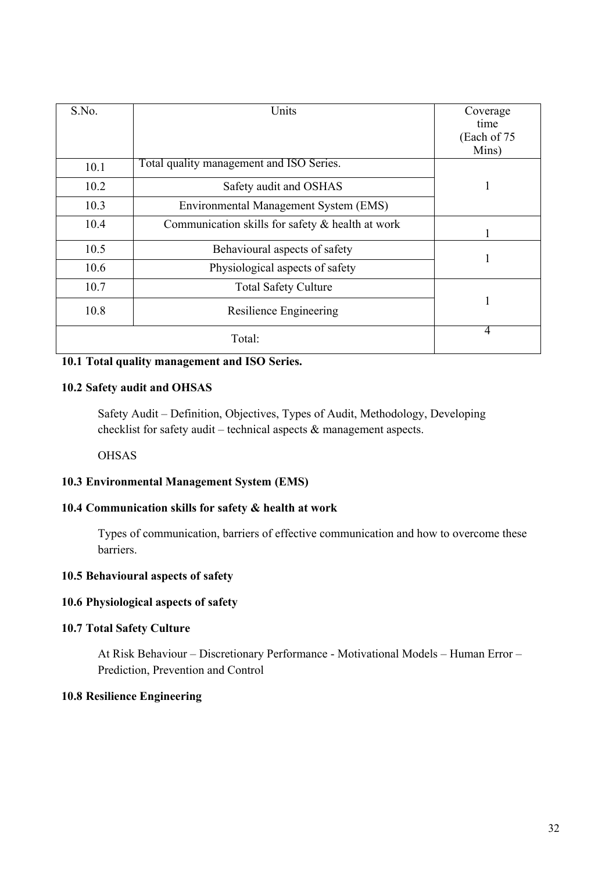| S.No. | Units                                            | Coverage<br>time<br>(Each of 75 |
|-------|--------------------------------------------------|---------------------------------|
| 10.1  | Total quality management and ISO Series.         | Mins)                           |
| 10.2  | Safety audit and OSHAS                           |                                 |
| 10.3  | Environmental Management System (EMS)            |                                 |
| 10.4  | Communication skills for safety & health at work |                                 |
| 10.5  | Behavioural aspects of safety                    | 1                               |
| 10.6  | Physiological aspects of safety                  |                                 |
| 10.7  | <b>Total Safety Culture</b>                      |                                 |
| 10.8  | Resilience Engineering                           | 1                               |
|       | Total:                                           | $\overline{4}$                  |

## **10.1 Total quality management and ISO Series.**

## **10.2 Safety audit and OHSAS**

Safety Audit – Definition, Objectives, Types of Audit, Methodology, Developing checklist for safety audit – technical aspects & management aspects.

**OHSAS** 

## **10.3 Environmental Management System (EMS)**

## **10.4 Communication skills for safety & health at work**

Types of communication, barriers of effective communication and how to overcome these barriers.

## **10.5 Behavioural aspects of safety**

## **10.6 Physiological aspects of safety**

## **10.7 Total Safety Culture**

At Risk Behaviour – Discretionary Performance - Motivational Models – Human Error – Prediction, Prevention and Control

## **10.8 Resilience Engineering**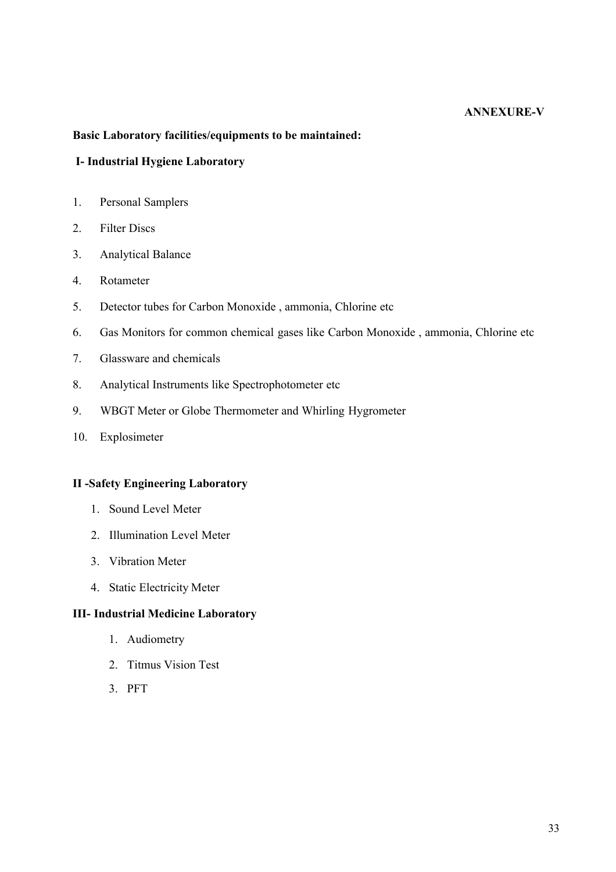## **ANNEXURE-V**

## **Basic Laboratory facilities/equipments to be maintained:**

## **I- Industrial Hygiene Laboratory**

- 1. Personal Samplers
- 2. Filter Discs
- 3. Analytical Balance
- 4. Rotameter
- 5. Detector tubes for Carbon Monoxide , ammonia, Chlorine etc
- 6. Gas Monitors for common chemical gases like Carbon Monoxide , ammonia, Chlorine etc
- 7. Glassware and chemicals
- 8. Analytical Instruments like Spectrophotometer etc
- 9. WBGT Meter or Globe Thermometer and Whirling Hygrometer
- 10. Explosimeter

## **II -Safety Engineering Laboratory**

- 1. Sound Level Meter
- 2. Illumination Level Meter
- 3. Vibration Meter
- 4. Static Electricity Meter

#### **III- Industrial Medicine Laboratory**

- 1. Audiometry
- 2. Titmus Vision Test
- 3. PFT